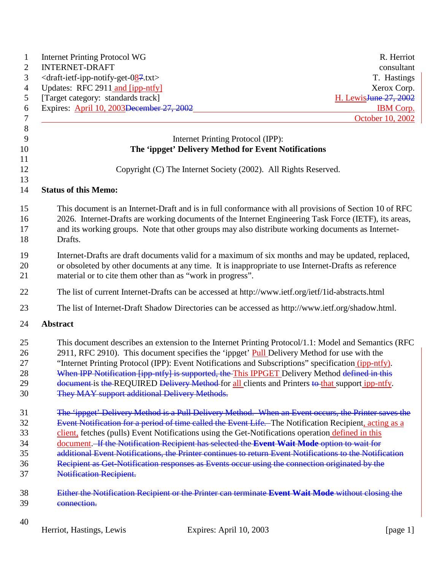| $\mathbf{1}$                     | <b>Internet Printing Protocol WG</b>                                                                                                                                                                                                                                                                                                                                                                                                                                                                                                                                    | R. Herriot                        |
|----------------------------------|-------------------------------------------------------------------------------------------------------------------------------------------------------------------------------------------------------------------------------------------------------------------------------------------------------------------------------------------------------------------------------------------------------------------------------------------------------------------------------------------------------------------------------------------------------------------------|-----------------------------------|
| $\overline{c}$                   | <b>INTERNET-DRAFT</b>                                                                                                                                                                                                                                                                                                                                                                                                                                                                                                                                                   | consultant                        |
| 3                                | <draft-ietf-ipp-notify-get-087.txt></draft-ietf-ipp-notify-get-087.txt>                                                                                                                                                                                                                                                                                                                                                                                                                                                                                                 | T. Hastings                       |
| $\overline{4}$                   | Updates: RFC 2911 and [ipp-ntfy]                                                                                                                                                                                                                                                                                                                                                                                                                                                                                                                                        | Xerox Corp.                       |
| 5                                | [Target category: standards track]                                                                                                                                                                                                                                                                                                                                                                                                                                                                                                                                      | H. Lewis <del>June 27, 2002</del> |
| 6                                | Expires: April 10, 2003 December 27, 2002                                                                                                                                                                                                                                                                                                                                                                                                                                                                                                                               | <b>IBM</b> Corp.                  |
| $\tau$                           |                                                                                                                                                                                                                                                                                                                                                                                                                                                                                                                                                                         | October 10, 2002                  |
| $8\,$                            |                                                                                                                                                                                                                                                                                                                                                                                                                                                                                                                                                                         |                                   |
| 9                                | Internet Printing Protocol (IPP):                                                                                                                                                                                                                                                                                                                                                                                                                                                                                                                                       |                                   |
| 10<br>11                         | The 'ippget' Delivery Method for Event Notifications                                                                                                                                                                                                                                                                                                                                                                                                                                                                                                                    |                                   |
| 12<br>13                         | Copyright (C) The Internet Society (2002). All Rights Reserved.                                                                                                                                                                                                                                                                                                                                                                                                                                                                                                         |                                   |
| 14                               | <b>Status of this Memo:</b>                                                                                                                                                                                                                                                                                                                                                                                                                                                                                                                                             |                                   |
| 15<br>16<br>17<br>18             | This document is an Internet-Draft and is in full conformance with all provisions of Section 10 of RFC<br>2026. Internet-Drafts are working documents of the Internet Engineering Task Force (IETF), its areas,<br>and its working groups. Note that other groups may also distribute working documents as Internet-<br>Drafts.                                                                                                                                                                                                                                         |                                   |
| 19<br>20<br>21                   | Internet-Drafts are draft documents valid for a maximum of six months and may be updated, replaced,<br>or obsoleted by other documents at any time. It is inappropriate to use Internet-Drafts as reference<br>material or to cite them other than as "work in progress".                                                                                                                                                                                                                                                                                               |                                   |
| 22                               | The list of current Internet-Drafts can be accessed at http://www.ietf.org/ietf/1id-abstracts.html                                                                                                                                                                                                                                                                                                                                                                                                                                                                      |                                   |
| 23                               | The list of Internet-Draft Shadow Directories can be accessed as http://www.ietf.org/shadow.html.                                                                                                                                                                                                                                                                                                                                                                                                                                                                       |                                   |
| 24                               | <b>Abstract</b>                                                                                                                                                                                                                                                                                                                                                                                                                                                                                                                                                         |                                   |
| 25<br>26<br>27<br>28<br>29<br>30 | This document describes an extension to the Internet Printing Protocol/1.1: Model and Semantics (RFC<br>2911, RFC 2910). This document specifies the 'ippget' <b>Pull</b> Delivery Method for use with the<br>"Internet Printing Protocol (IPP): Event Notifications and Subscriptions" specification (ipp-ntfy).<br>When IPP Notification [ipp-ntfy] is supported, the This IPPGET Delivery Method defined in this<br>document is the REQUIRED Delivery Method for all clients and Printers to that support ipp-ntfy.<br>They MAY support additional Delivery Methods. |                                   |
| 31                               | The 'ippget' Delivery Method is a Pull Delivery Method. When an Event occurs, the Printer saves the                                                                                                                                                                                                                                                                                                                                                                                                                                                                     |                                   |
| 32                               | Event Notification for a period of time called the Event Life. The Notification Recipient, acting as a                                                                                                                                                                                                                                                                                                                                                                                                                                                                  |                                   |
| 33                               | client, fetches (pulls) Event Notifications using the Get-Notifications operation defined in this                                                                                                                                                                                                                                                                                                                                                                                                                                                                       |                                   |
| 34                               | document. If the Notification Recipient has selected the Event Wait Mode option to wait for                                                                                                                                                                                                                                                                                                                                                                                                                                                                             |                                   |
| 35                               | additional Event Notifications, the Printer continues to return Event Notifications to the Notification                                                                                                                                                                                                                                                                                                                                                                                                                                                                 |                                   |
| 36                               | Recipient as Get-Notification responses as Events occur using the connection originated by the                                                                                                                                                                                                                                                                                                                                                                                                                                                                          |                                   |
| 37                               | <b>Notification Recipient.</b>                                                                                                                                                                                                                                                                                                                                                                                                                                                                                                                                          |                                   |
| 38                               | Either the Notification Recipient or the Printer can terminate Event Wait Mode without closing the                                                                                                                                                                                                                                                                                                                                                                                                                                                                      |                                   |
| 39                               | connection.                                                                                                                                                                                                                                                                                                                                                                                                                                                                                                                                                             |                                   |
| 40                               |                                                                                                                                                                                                                                                                                                                                                                                                                                                                                                                                                                         |                                   |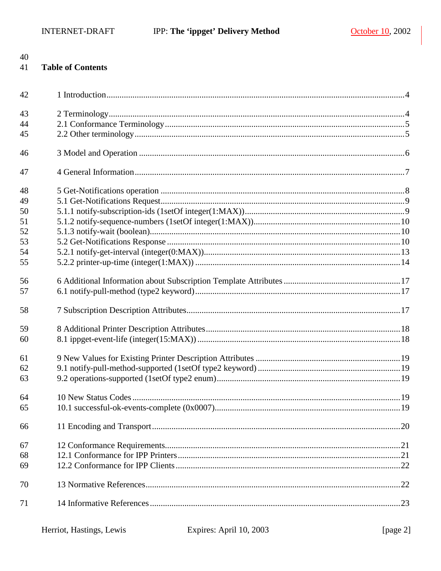#### 41 **Table of Contents**

| 42 |  |
|----|--|
| 43 |  |
| 44 |  |
| 45 |  |
| 46 |  |
| 47 |  |
| 48 |  |
| 49 |  |
| 50 |  |
| 51 |  |
| 52 |  |
| 53 |  |
| 54 |  |
| 55 |  |
| 56 |  |
| 57 |  |
| 58 |  |
| 59 |  |
| 60 |  |
|    |  |
| 61 |  |
| 62 |  |
| 63 |  |
| 64 |  |
| 65 |  |
| 66 |  |
| 67 |  |
| 68 |  |
| 69 |  |
| 70 |  |
|    |  |
| 71 |  |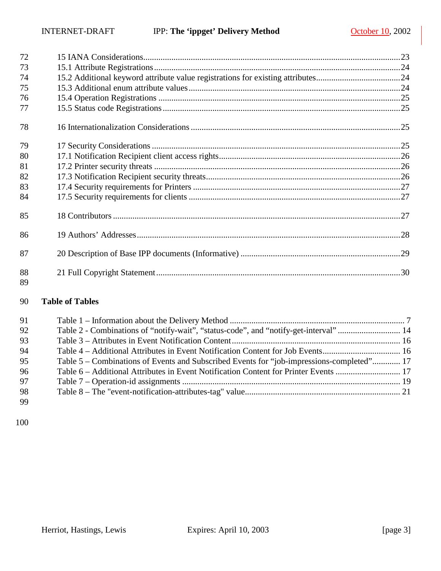| 72       |  |
|----------|--|
| 73       |  |
| 74       |  |
| 75       |  |
| 76       |  |
| 77       |  |
| 78       |  |
| 79       |  |
| 80       |  |
| 81       |  |
| 82       |  |
| 83       |  |
| 84       |  |
| 85       |  |
| 86       |  |
| 87       |  |
| 88<br>89 |  |

#### **Table of Tables**

| 91 |                                                                                           |  |
|----|-------------------------------------------------------------------------------------------|--|
| 92 | Table 2 - Combinations of "notify-wait", "status-code", and "notify-get-interval"  14     |  |
| 93 |                                                                                           |  |
| 94 |                                                                                           |  |
| 95 | Table 5 – Combinations of Events and Subscribed Events for "job-impressions-completed" 17 |  |
| 96 | Table 6 – Additional Attributes in Event Notification Content for Printer Events  17      |  |
| 97 |                                                                                           |  |
| 98 |                                                                                           |  |
| 99 |                                                                                           |  |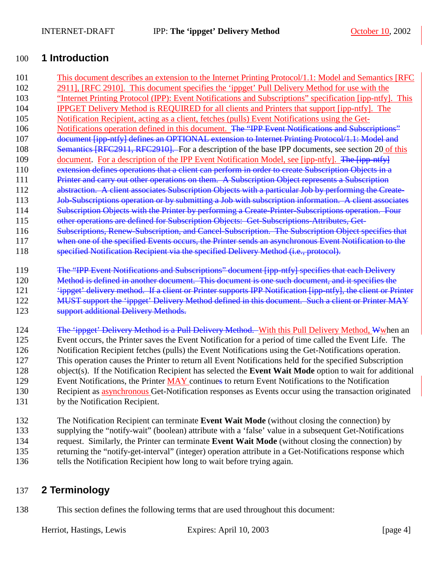## <span id="page-3-0"></span>100 **1 Introduction**

- 101 This document describes an extension to the Internet Printing Protocol/1.1: Model and Semantics [RFC 102 2911], [RFC 2910]. This document specifies the 'ippget' Pull Delivery Method for use with the 103 "Internet Printing Protocol (IPP): Event Notifications and Subscriptions" specification [ipp-ntfy]. This 104 IPPGET Delivery Method is REQUIRED for all clients and Printers that support [ipp-ntfy]. The 105 Notification Recipient, acting as a client, fetches (pulls) Event Notifications using the Get-106 Notifications operation defined in this document. The "IPP Event Notifications and Subscriptions" 107 document [ipp-ntfy] defines an OPTIONAL extension to Internet Printing Protocol/1.1: Model and 108 Semantics [RFC2911, RFC2910]. For a description of the base IPP documents, see section [20](#page-28-0) of this 109 document. For a description of the IPP Event Notification Model, see [ipp-ntfy]. The [ipp-ntfy] 110 extension defines operations that a client can perform in order to create Subscription Objects in a 111 Printer and carry out other operations on them. A Subscription Object represents a Subscription 112 abstraction. A client associates Subscription Objects with a particular Job by performing the Create-113 Job-Subscriptions operation or by submitting a Job with subscription information. A client associates 114 Subscription Objects with the Printer by performing a Create-Printer-Subscriptions operation. Four 115 other operations are defined for Subscription Objects: Get-Subscriptions-Attributes, Get-116 Subscriptions, Renew-Subscription, and Cancel-Subscription. The Subscription Object specifies that 117 when one of the specified Events occurs, the Printer sends an asynchronous Event Notification to the 118 specified Notification Recipient via the specified Delivery Method (i.e., protocol). 119 The "IPP Event Notifications and Subscriptions" document [ipp-ntfy] specifies that each Delivery 120 Method is defined in another document. This document is one such document, and it specifies the 121 'ippget' delivery method. If a client or Printer supports IPP Notification [ipp-ntfy], the client or Printer 122 MUST support the 'ippget' Delivery Method defined in this document. Such a client or Printer MAY 123 **Support additional Delivery Methods.** 124 The *'ippget'* Delivery Method is a Pull Delivery Method. With this Pull Delivery Method, Wwhen an 125 Event occurs, the Printer saves the Event Notification for a period of time called the Event Life. The 126 Notification Recipient fetches (pulls) the Event Notifications using the Get-Notifications operation. 127 This operation causes the Printer to return all Event Notifications held for the specified Subscription 128 object(s). If the Notification Recipient has selected the **Event Wait Mode** option to wait for additional 129 Event Notifications, the Printer MAY continues to return Event Notifications to the Notification 130 Recipient as asynchronous Get-Notification responses as Events occur using the transaction originated
- 131 by the Notification Recipient.
- 132 The Notification Recipient can terminate **Event Wait Mode** (without closing the connection) by
- 133 supplying the "notify-wait" (boolean) attribute with a 'false' value in a subsequent Get-Notifications
- 134 request. Similarly, the Printer can terminate **Event Wait Mode** (without closing the connection) by 135 returning the "notify-get-interval" (integer) operation attribute in a Get-Notifications response which 136 tells the Notification Recipient how long to wait before trying again.

## 137 **2 Terminology**

138 This section defines the following terms that are used throughout this document:

Herriot, Hastings, Lewis Expires: April 10, 2003 [page 4]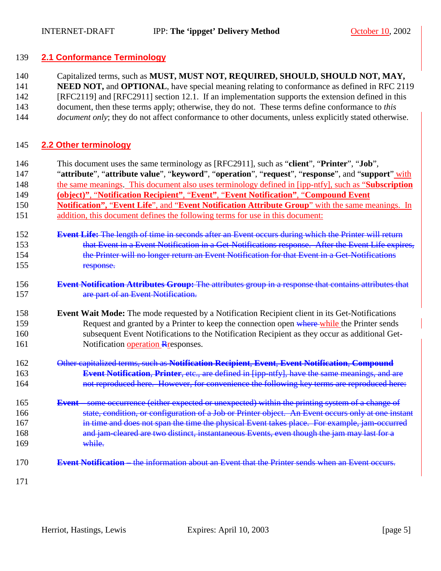#### <span id="page-4-0"></span>139 **2.1 Conformance Terminology**

140 Capitalized terms, such as **MUST, MUST NOT, REQUIRED, SHOULD, SHOULD NOT, MAY,** 

141 **NEED NOT, and OPTIONAL**, have special meaning relating to conformance as defined in RFC 2119

142 [RFC2119] and [RFC2911] section 12.1. If an implementation supports the extension defined in this

143 document, then these terms apply; otherwise, they do not. These terms define conformance to *this* 

144 *document only*; they do not affect conformance to other documents, unless explicitly stated otherwise.

## 145 **2.2 Other terminology**

- 146 This document uses the same terminology as [RFC2911], such as "**client**", "**Printer**", "**Job**",
- 147 "**attribute**", "**attribute value**", "**keyword**", "**operation**", "**request**", "**response**", and "**support**" with
- 148 the same meanings. This document also uses terminology defined in [ipp-ntfy], such as "**Subscription**
- 149 **(object)"**, "**Notification Recipient"**, "**Event"**, "**Event Notification"**, "**Compound Event**
- 150 **Notification",** "**Event Life**", and "**Event Notification Attribute Group**" with the same meanings. In 151 addition, this document defines the following terms for use in this document:
- 152 **Event Life:** The length of time in seconds after an Event occurs during which the Printer will return 153 that Event in a Event Notification in a Get-Notifications response. After the Event Life expires, 154 the Printer will no longer return an Event Notification for that Event in a Get-Notifications 155 response.
- 156 **Event Notification Attributes Group:** The attributes group in a response that contains attributes that 157 **are part of an Event Notification.**

#### 158 **Event Wait Mode:** The mode requested by a Notification Recipient client in its Get-Notifications 159 Request and granted by a Printer to keep the connection open where while the Printer sends 160 subsequent Event Notifications to the Notification Recipient as they occur as additional Get-161 Notification operation Responses.

- 162 Other capitalized terms, such as **Notification Recipient**, **Event**, **Event Notification**, **Compound**  163 **Event Notification**, **Printer**, etc., are defined in [ipp-ntfy], have the same meanings, and are 164 not reproduced here. However, for convenience the following key terms are reproduced here:
- 165 **Event –** some occurrence (either expected or unexpected) within the printing system of a change of 166 state, condition, or configuration of a Job or Printer object. An Event occurs only at one instant 167 in time and does not span the time the physical Event takes place. For example, jam-occurred 168 and jam-cleared are two distinct, instantaneous Events, even though the jam may last for a 169 while.
- 170 **Event Notification –** the information about an Event that the Printer sends when an Event occurs.
- 171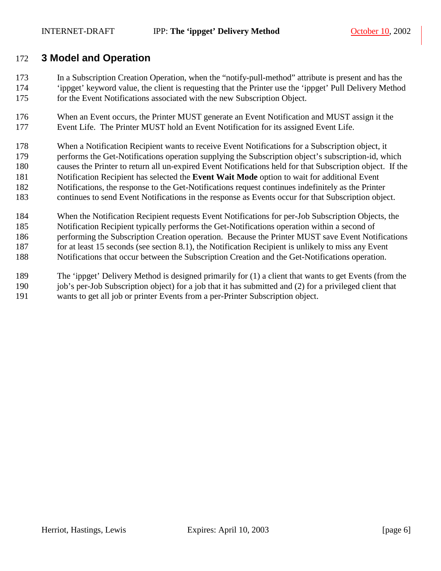## <span id="page-5-0"></span>172 **3 Model and Operation**

- 173 In a Subscription Creation Operation, when the "notify-pull-method" attribute is present and has the 174 'ippget' keyword value, the client is requesting that the Printer use the 'ippget' Pull Delivery Method 175 for the Event Notifications associated with the new Subscription Object.
- 176 When an Event occurs, the Printer MUST generate an Event Notification and MUST assign it the 177 Event Life. The Printer MUST hold an Event Notification for its assigned Event Life.
- 178 When a Notification Recipient wants to receive Event Notifications for a Subscription object, it 179 performs the Get-Notifications operation supplying the Subscription object's subscription-id, which 180 causes the Printer to return all un-expired Event Notifications held for that Subscription object. If the 181 Notification Recipient has selected the **Event Wait Mode** option to wait for additional Event 182 Notifications, the response to the Get-Notifications request continues indefinitely as the Printer 183 continues to send Event Notifications in the response as Events occur for that Subscription object.
- 184 When the Notification Recipient requests Event Notifications for per-Job Subscription Objects, the 185 Notification Recipient typically performs the Get-Notifications operation within a second of 186 performing the Subscription Creation operation. Because the Printer MUST save Event Notifications 187 for at least 15 seconds (see section [8.1\)](#page-17-0), the Notification Recipient is unlikely to miss any Event 188 Notifications that occur between the Subscription Creation and the Get-Notifications operation.
- 189 The 'ippget' Delivery Method is designed primarily for (1) a client that wants to get Events (from the 190 job's per-Job Subscription object) for a job that it has submitted and (2) for a privileged client that 191 wants to get all job or printer Events from a per-Printer Subscription object.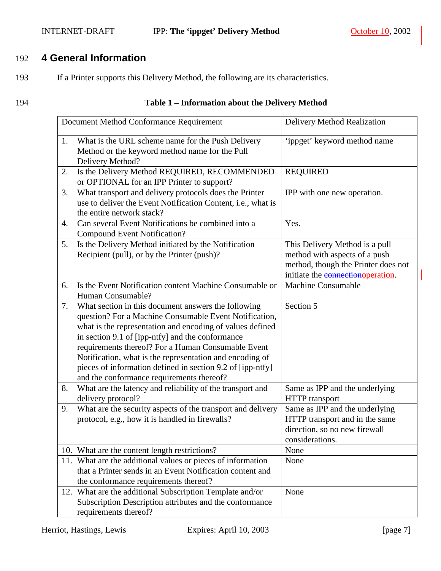#### <span id="page-6-0"></span>INTERNET-DRAFT IPP: **The 'ippget' Delivery Method** October 10, 2002

## 192 **4 General Information**

193 If a Printer supports this Delivery Method, the following are its characteristics.

#### 194 **Table 1 – Information about the Delivery Method**

|    | Document Method Conformance Requirement                                                                                                                                                                                                                                                                                                                                                                                                                     | Delivery Method Realization                                                                                                                  |
|----|-------------------------------------------------------------------------------------------------------------------------------------------------------------------------------------------------------------------------------------------------------------------------------------------------------------------------------------------------------------------------------------------------------------------------------------------------------------|----------------------------------------------------------------------------------------------------------------------------------------------|
| 1. | What is the URL scheme name for the Push Delivery<br>Method or the keyword method name for the Pull<br>Delivery Method?                                                                                                                                                                                                                                                                                                                                     | 'ippget' keyword method name                                                                                                                 |
| 2. | Is the Delivery Method REQUIRED, RECOMMENDED<br>or OPTIONAL for an IPP Printer to support?                                                                                                                                                                                                                                                                                                                                                                  | <b>REQUIRED</b>                                                                                                                              |
| 3. | What transport and delivery protocols does the Printer<br>use to deliver the Event Notification Content, i.e., what is<br>the entire network stack?                                                                                                                                                                                                                                                                                                         | IPP with one new operation.                                                                                                                  |
| 4. | Can several Event Notifications be combined into a<br><b>Compound Event Notification?</b>                                                                                                                                                                                                                                                                                                                                                                   | Yes.                                                                                                                                         |
| 5. | Is the Delivery Method initiated by the Notification<br>Recipient (pull), or by the Printer (push)?                                                                                                                                                                                                                                                                                                                                                         | This Delivery Method is a pull<br>method with aspects of a push<br>method, though the Printer does not<br>initiate the connection operation. |
| 6. | Is the Event Notification content Machine Consumable or<br>Human Consumable?                                                                                                                                                                                                                                                                                                                                                                                | <b>Machine Consumable</b>                                                                                                                    |
| 7. | What section in this document answers the following<br>question? For a Machine Consumable Event Notification,<br>what is the representation and encoding of values defined<br>in section 9.1 of [ipp-ntfy] and the conformance<br>requirements thereof? For a Human Consumable Event<br>Notification, what is the representation and encoding of<br>pieces of information defined in section 9.2 of [ipp-ntfy]<br>and the conformance requirements thereof? | Section 5                                                                                                                                    |
| 8. | What are the latency and reliability of the transport and<br>delivery protocol?                                                                                                                                                                                                                                                                                                                                                                             | Same as IPP and the underlying<br><b>HTTP</b> transport                                                                                      |
| 9. | What are the security aspects of the transport and delivery<br>protocol, e.g., how it is handled in firewalls?                                                                                                                                                                                                                                                                                                                                              | Same as IPP and the underlying<br>HTTP transport and in the same<br>direction, so no new firewall<br>considerations.                         |
|    | 10. What are the content length restrictions?                                                                                                                                                                                                                                                                                                                                                                                                               | None                                                                                                                                         |
|    | 11. What are the additional values or pieces of information<br>that a Printer sends in an Event Notification content and<br>the conformance requirements thereof?                                                                                                                                                                                                                                                                                           | None                                                                                                                                         |
|    | 12. What are the additional Subscription Template and/or<br>Subscription Description attributes and the conformance<br>requirements thereof?                                                                                                                                                                                                                                                                                                                | None                                                                                                                                         |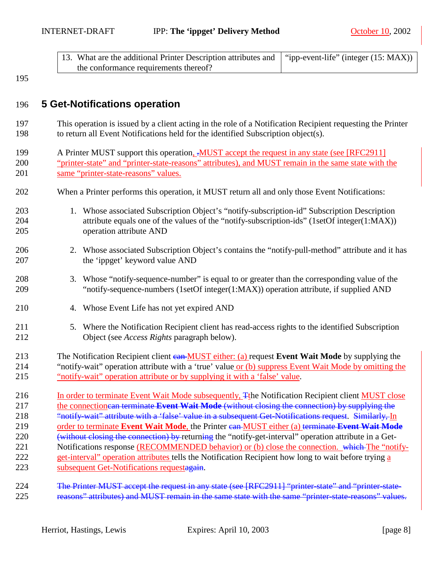<span id="page-7-0"></span>

| 13. What are the additional Printer Description attributes and   "ipp-event-life" (integer (15: MAX)) |  |
|-------------------------------------------------------------------------------------------------------|--|
| the conformance requirements thereof?                                                                 |  |

## 196 **5 Get-Notifications operation**

- 197 This operation is issued by a client acting in the role of a Notification Recipient requesting the Printer 198 to return all Event Notifications held for the identified Subscription object(s).
- 199 A Printer MUST support this operation, .MUST accept the request in any state (see [RFC2911] 200 "printer-state" and "printer-state-reasons" attributes), and MUST remain in the same state with the 201 same "printer-state-reasons" values.
- 202 When a Printer performs this operation, it MUST return all and only those Event Notifications:
- 203 1. Whose associated Subscription Object's "notify-subscription-id" Subscription Description 204 attribute equals one of the values of the "notify-subscription-ids" (1setOf integer(1:MAX)) 205 operation attribute AND
- 206 2. Whose associated Subscription Object's contains the "notify-pull-method" attribute and it has 207 the 'ippget' keyword value AND
- 208 3. Whose "notify-sequence-number" is equal to or greater than the corresponding value of the 209 "notify-sequence-numbers (1setOf integer(1:MAX)) operation attribute, if supplied AND
- 210 4. Whose Event Life has not yet expired AND
- 211 5. Where the Notification Recipient client has read-access rights to the identified Subscription 212 Object (see *Access Rights* paragraph below).
- 213 The Notification Recipient client can MUST either: (a) request **Event Wait Mode** by supplying the 214 "notify-wait" operation attribute with a 'true' value or (b) suppress Event Wait Mode by omitting the 215 "notify-wait" operation attribute or by supplying it with a 'false' value.
- 216 In order to terminate Event Wait Mode subsequently, The Notification Recipient client MUST close 217 the connectioncan terminate **Event Wait Mode** (without closing the connection) by supplying the 218 "notify-wait" attribute with a 'false' value in a subsequent Get-Notifications request. Similarly, In 219 order to terminate **Event Wait Mode**, the Printer can MUST either (a) terminate **Event Wait Mode** 220 (without closing the connection) by returning the "notify-get-interval" operation attribute in a Get-221 Notifications response (RECOMMENDED behavior) or (b) close the connection. which The "notify-222 get-interval" operation attributes tells the Notification Recipient how long to wait before trying a 223 subsequent Get-Notifications requestagain.
- 224 The Printer MUST accept the request in any state (see [RFC2911] "printer-state" and "printer-state-225 reasons" attributes) and MUST remain in the same state with the same "printer-state-reasons" values.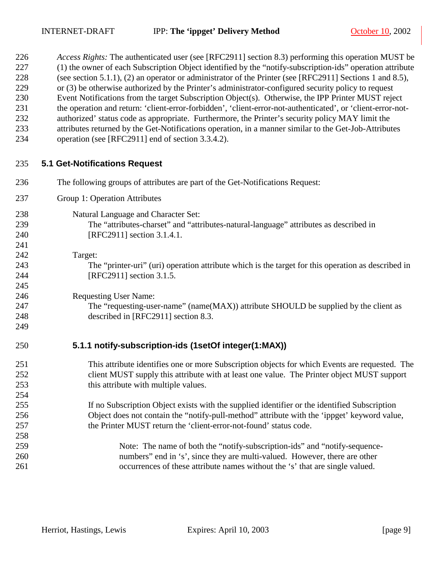<span id="page-8-0"></span>226 *Access Rights:* The authenticated user (see [RFC2911] section 8.3) performing this operation MUST be

| 227<br>228<br>229<br>230<br>231<br>232<br>233<br>234 | (1) the owner of each Subscription Object identified by the "notify-subscription-ids" operation attribute<br>(see section 5.1.1), (2) an operator or administrator of the Printer (see [RFC2911] Sections 1 and 8.5),<br>or (3) be otherwise authorized by the Printer's administrator-configured security policy to request<br>Event Notifications from the target Subscription Object(s). Otherwise, the IPP Printer MUST reject<br>the operation and return: 'client-error-forbidden', 'client-error-not-authenticated', or 'client-error-not-<br>authorized' status code as appropriate. Furthermore, the Printer's security policy MAY limit the<br>attributes returned by the Get-Notifications operation, in a manner similar to the Get-Job-Attributes<br>operation (see [RFC2911] end of section 3.3.4.2). |
|------------------------------------------------------|---------------------------------------------------------------------------------------------------------------------------------------------------------------------------------------------------------------------------------------------------------------------------------------------------------------------------------------------------------------------------------------------------------------------------------------------------------------------------------------------------------------------------------------------------------------------------------------------------------------------------------------------------------------------------------------------------------------------------------------------------------------------------------------------------------------------|
| 235                                                  | <b>5.1 Get-Notifications Request</b>                                                                                                                                                                                                                                                                                                                                                                                                                                                                                                                                                                                                                                                                                                                                                                                |
| 236                                                  | The following groups of attributes are part of the Get-Notifications Request:                                                                                                                                                                                                                                                                                                                                                                                                                                                                                                                                                                                                                                                                                                                                       |
| 237                                                  | Group 1: Operation Attributes                                                                                                                                                                                                                                                                                                                                                                                                                                                                                                                                                                                                                                                                                                                                                                                       |
| 238                                                  | Natural Language and Character Set:                                                                                                                                                                                                                                                                                                                                                                                                                                                                                                                                                                                                                                                                                                                                                                                 |
| 239                                                  | The "attributes-charset" and "attributes-natural-language" attributes as described in                                                                                                                                                                                                                                                                                                                                                                                                                                                                                                                                                                                                                                                                                                                               |
| 240                                                  | [RFC2911] section 3.1.4.1.                                                                                                                                                                                                                                                                                                                                                                                                                                                                                                                                                                                                                                                                                                                                                                                          |
| 241                                                  |                                                                                                                                                                                                                                                                                                                                                                                                                                                                                                                                                                                                                                                                                                                                                                                                                     |
| 242                                                  | Target:                                                                                                                                                                                                                                                                                                                                                                                                                                                                                                                                                                                                                                                                                                                                                                                                             |
| 243                                                  | The "printer-uri" (uri) operation attribute which is the target for this operation as described in                                                                                                                                                                                                                                                                                                                                                                                                                                                                                                                                                                                                                                                                                                                  |
| 244                                                  | [RFC2911] section 3.1.5.                                                                                                                                                                                                                                                                                                                                                                                                                                                                                                                                                                                                                                                                                                                                                                                            |
| 245                                                  |                                                                                                                                                                                                                                                                                                                                                                                                                                                                                                                                                                                                                                                                                                                                                                                                                     |
| 246                                                  | <b>Requesting User Name:</b>                                                                                                                                                                                                                                                                                                                                                                                                                                                                                                                                                                                                                                                                                                                                                                                        |
| 247                                                  | The "requesting-user-name" (name(MAX)) attribute SHOULD be supplied by the client as                                                                                                                                                                                                                                                                                                                                                                                                                                                                                                                                                                                                                                                                                                                                |
| 248                                                  | described in [RFC2911] section 8.3.                                                                                                                                                                                                                                                                                                                                                                                                                                                                                                                                                                                                                                                                                                                                                                                 |
| 249                                                  |                                                                                                                                                                                                                                                                                                                                                                                                                                                                                                                                                                                                                                                                                                                                                                                                                     |
| 250                                                  | 5.1.1 notify-subscription-ids (1setOf integer(1:MAX))                                                                                                                                                                                                                                                                                                                                                                                                                                                                                                                                                                                                                                                                                                                                                               |
| 251                                                  | This attribute identifies one or more Subscription objects for which Events are requested. The                                                                                                                                                                                                                                                                                                                                                                                                                                                                                                                                                                                                                                                                                                                      |
| 252                                                  | client MUST supply this attribute with at least one value. The Printer object MUST support                                                                                                                                                                                                                                                                                                                                                                                                                                                                                                                                                                                                                                                                                                                          |
| 253                                                  | this attribute with multiple values.                                                                                                                                                                                                                                                                                                                                                                                                                                                                                                                                                                                                                                                                                                                                                                                |
| 254                                                  |                                                                                                                                                                                                                                                                                                                                                                                                                                                                                                                                                                                                                                                                                                                                                                                                                     |
| 255                                                  | If no Subscription Object exists with the supplied identifier or the identified Subscription                                                                                                                                                                                                                                                                                                                                                                                                                                                                                                                                                                                                                                                                                                                        |
| 256                                                  | Object does not contain the "notify-pull-method" attribute with the 'ippget' keyword value,                                                                                                                                                                                                                                                                                                                                                                                                                                                                                                                                                                                                                                                                                                                         |
| 257                                                  | the Printer MUST return the 'client-error-not-found' status code.                                                                                                                                                                                                                                                                                                                                                                                                                                                                                                                                                                                                                                                                                                                                                   |
| 258                                                  |                                                                                                                                                                                                                                                                                                                                                                                                                                                                                                                                                                                                                                                                                                                                                                                                                     |
| 259                                                  | Note: The name of both the "notify-subscription-ids" and "notify-sequence-                                                                                                                                                                                                                                                                                                                                                                                                                                                                                                                                                                                                                                                                                                                                          |
| 260                                                  | numbers" end in 's', since they are multi-valued. However, there are other                                                                                                                                                                                                                                                                                                                                                                                                                                                                                                                                                                                                                                                                                                                                          |
| 261                                                  | occurrences of these attribute names without the 's' that are single valued.                                                                                                                                                                                                                                                                                                                                                                                                                                                                                                                                                                                                                                                                                                                                        |
|                                                      |                                                                                                                                                                                                                                                                                                                                                                                                                                                                                                                                                                                                                                                                                                                                                                                                                     |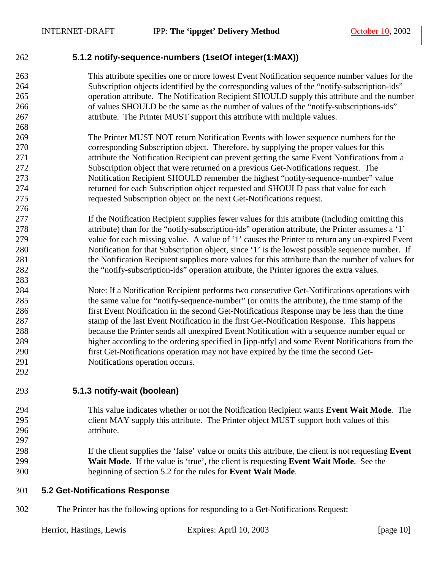276

283

292

#### <span id="page-9-0"></span>262 **5.1.2 notify-sequence-numbers (1setOf integer(1:MAX))**

- 263 This attribute specifies one or more lowest Event Notification sequence number values for the 264 Subscription objects identified by the corresponding values of the "notify-subscription-ids" 265 operation attribute. The Notification Recipient SHOULD supply this attribute and the number 266 of values SHOULD be the same as the number of values of the "notify-subscriptions-ids" 267 attribute. The Printer MUST support this attribute with multiple values.
- 269 The Printer MUST NOT return Notification Events with lower sequence numbers for the 270 corresponding Subscription object. Therefore, by supplying the proper values for this 271 attribute the Notification Recipient can prevent getting the same Event Notifications from a 272 Subscription object that were returned on a previous Get-Notifications request. The 273 Notification Recipient SHOULD remember the highest "notify-sequence-number" value 274 returned for each Subscription object requested and SHOULD pass that value for each 275 requested Subscription object on the next Get-Notifications request.
- 277 If the Notification Recipient supplies fewer values for this attribute (including omitting this 278 attribute) than for the "notify-subscription-ids" operation attribute, the Printer assumes a '1' 279 value for each missing value. A value of '1' causes the Printer to return any un-expired Event 280 Notification for that Subscription object, since '1' is the lowest possible sequence number. If 281 the Notification Recipient supplies more values for this attribute than the number of values for 282 the "notify-subscription-ids" operation attribute, the Printer ignores the extra values.
- 284 Note: If a Notification Recipient performs two consecutive Get-Notifications operations with 285 the same value for "notify-sequence-number" (or omits the attribute), the time stamp of the 286 first Event Notification in the second Get-Notifications Response may be less than the time 287 stamp of the last Event Notification in the first Get-Notification Response. This happens 288 because the Printer sends all unexpired Event Notification with a sequence number equal or 289 higher according to the ordering specified in [ipp-ntfy] and some Event Notifications from the 290 first Get-Notifications operation may not have expired by the time the second Get-291 Notifications operation occurs.
- 293 **5.1.3 notify-wait (boolean)**
- 294 This value indicates whether or not the Notification Recipient wants **Event Wait Mode**. The 295 client MAY supply this attribute. The Printer object MUST support both values of this 296 attribute. 297
- 298 If the client supplies the 'false' value or omits this attribute, the client is not requesting **Event**  299 **Wait Mode**. If the value is 'true', the client is requesting **Event Wait Mode**. See the 300 beginning of section 5.2 for the rules for **Event Wait Mode**.

#### 301 **5.2 Get-Notifications Response**

302 The Printer has the following options for responding to a Get-Notifications Request: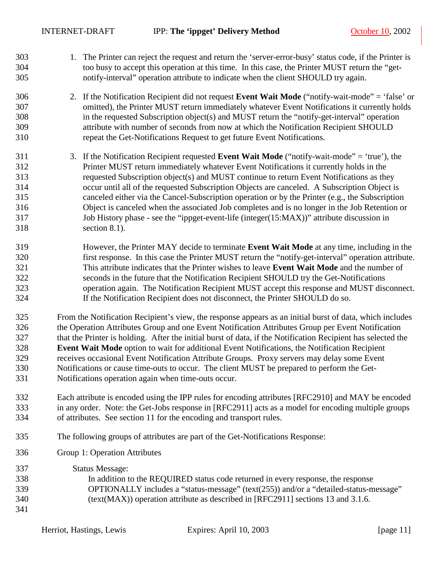- 303 1. The Printer can reject the request and return the 'server-error-busy' status code, if the Printer is 304 too busy to accept this operation at this time. In this case, the Printer MUST return the "get-305 notify-interval" operation attribute to indicate when the client SHOULD try again.
- 306 2. If the Notification Recipient did not request **Event Wait Mode** ("notify-wait-mode" = 'false' or 307 omitted), the Printer MUST return immediately whatever Event Notifications it currently holds 308 in the requested Subscription object(s) and MUST return the "notify-get-interval" operation 309 attribute with number of seconds from now at which the Notification Recipient SHOULD 310 repeat the Get-Notifications Request to get future Event Notifications.
- 311 3. If the Notification Recipient requested **Event Wait Mode** ("notify-wait-mode" = 'true'), the 312 Printer MUST return immediately whatever Event Notifications it currently holds in the 313 requested Subscription object(s) and MUST continue to return Event Notifications as they 314 occur until all of the requested Subscription Objects are canceled. A Subscription Object is 315 canceled either via the Cancel-Subscription operation or by the Printer (e.g., the Subscription 316 Object is canceled when the associated Job completes and is no longer in the Job Retention or 317 Job History phase - see the ["ippget-event-life \(integer\(15:MAX\)\)"](#page-17-0) attribute discussion in 318 section [8.1\)](#page-17-0).
- 319 However, the Printer MAY decide to terminate **Event Wait Mode** at any time, including in the 320 first response. In this case the Printer MUST return the "notify-get-interval" operation attribute. 321 This attribute indicates that the Printer wishes to leave **Event Wait Mode** and the number of 322 seconds in the future that the Notification Recipient SHOULD try the Get-Notifications 323 operation again. The Notification Recipient MUST accept this response and MUST disconnect. 324 If the Notification Recipient does not disconnect, the Printer SHOULD do so.
- 325 From the Notification Recipient's view, the response appears as an initial burst of data, which includes 326 the Operation Attributes Group and one Event Notification Attributes Group per Event Notification 327 that the Printer is holding. After the initial burst of data, if the Notification Recipient has selected the 328 **Event Wait Mode** option to wait for additional Event Notifications, the Notification Recipient 329 receives occasional Event Notification Attribute Groups. Proxy servers may delay some Event 330 Notifications or cause time-outs to occur. The client MUST be prepared to perform the Get-331 Notifications operation again when time-outs occur.
- 332 Each attribute is encoded using the IPP rules for encoding attributes [RFC2910] and MAY be encoded 333 in any order. Note: the Get-Jobs response in [RFC2911] acts as a model for encoding multiple groups 334 of attributes. See section [11](#page-19-0) for the encoding and transport rules.
- 335 The following groups of attributes are part of the Get-Notifications Response:
- 336 Group 1: Operation Attributes
- 337 Status Message: 338 In addition to the REQUIRED status code returned in every response, the response 339 OPTIONALLY includes a "status-message" (text(255)) and/or a "detailed-status-message" 340 (text(MAX)) operation attribute as described in [RFC2911] sections 13 and 3.1.6. 341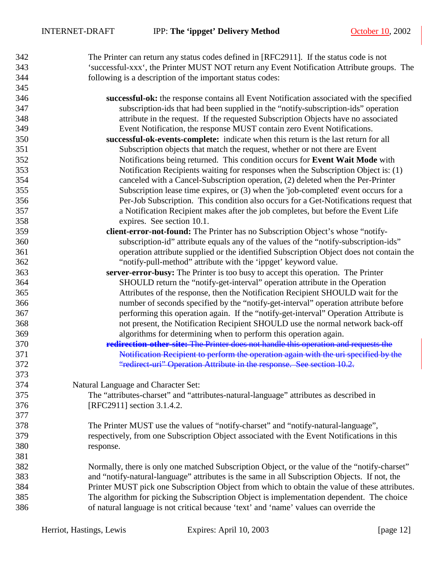| 342 | The Printer can return any status codes defined in [RFC2911]. If the status code is not       |
|-----|-----------------------------------------------------------------------------------------------|
| 343 | 'successful-xxx', the Printer MUST NOT return any Event Notification Attribute groups. The    |
| 344 | following is a description of the important status codes:                                     |
| 345 |                                                                                               |
| 346 | successful-ok: the response contains all Event Notification associated with the specified     |
| 347 | subscription-ids that had been supplied in the "notify-subscription-ids" operation            |
| 348 | attribute in the request. If the requested Subscription Objects have no associated            |
| 349 | Event Notification, the response MUST contain zero Event Notifications.                       |
| 350 | successful-ok-events-complete: indicate when this return is the last return for all           |
| 351 | Subscription objects that match the request, whether or not there are Event                   |
| 352 | Notifications being returned. This condition occurs for Event Wait Mode with                  |
| 353 | Notification Recipients waiting for responses when the Subscription Object is: (1)            |
| 354 | canceled with a Cancel-Subscription operation, (2) deleted when the Per-Printer               |
| 355 | Subscription lease time expires, or (3) when the 'job-completed' event occurs for a           |
| 356 | Per-Job Subscription. This condition also occurs for a Get-Notifications request that         |
| 357 | a Notification Recipient makes after the job completes, but before the Event Life             |
| 358 | expires. See section 10.1.                                                                    |
| 359 | client-error-not-found: The Printer has no Subscription Object's whose "notify-               |
| 360 | subscription-id" attribute equals any of the values of the "notify-subscription-ids"          |
| 361 | operation attribute supplied or the identified Subscription Object does not contain the       |
| 362 | "notify-pull-method" attribute with the 'ippget' keyword value.                               |
| 363 | server-error-busy: The Printer is too busy to accept this operation. The Printer              |
| 364 | SHOULD return the "notify-get-interval" operation attribute in the Operation                  |
| 365 | Attributes of the response, then the Notification Recipient SHOULD wait for the               |
| 366 | number of seconds specified by the "notify-get-interval" operation attribute before           |
| 367 | performing this operation again. If the "notify-get-interval" Operation Attribute is          |
| 368 | not present, the Notification Recipient SHOULD use the normal network back-off                |
| 369 | algorithms for determining when to perform this operation again.                              |
| 370 | redirection-other-site: The Printer does not handle this operation and requests the           |
| 371 | Notification Recipient to perform the operation again with the uri specified by the           |
| 372 | "redirect-uri" Operation Attribute in the response. See section 10.2.                         |
| 373 |                                                                                               |
| 374 | Natural Language and Character Set:                                                           |
| 375 | The "attributes-charset" and "attributes-natural-language" attributes as described in         |
| 376 | [RFC2911] section 3.1.4.2.                                                                    |
| 377 |                                                                                               |
| 378 | The Printer MUST use the values of "notify-charset" and "notify-natural-language",            |
| 379 | respectively, from one Subscription Object associated with the Event Notifications in this    |
| 380 | response.                                                                                     |
| 381 |                                                                                               |
| 382 | Normally, there is only one matched Subscription Object, or the value of the "notify-charset" |
| 383 | and "notify-natural-language" attributes is the same in all Subscription Objects. If not, the |
| 384 | Printer MUST pick one Subscription Object from which to obtain the value of these attributes. |
| 385 | The algorithm for picking the Subscription Object is implementation dependent. The choice     |
| 386 | of natural language is not critical because 'text' and 'name' values can override the         |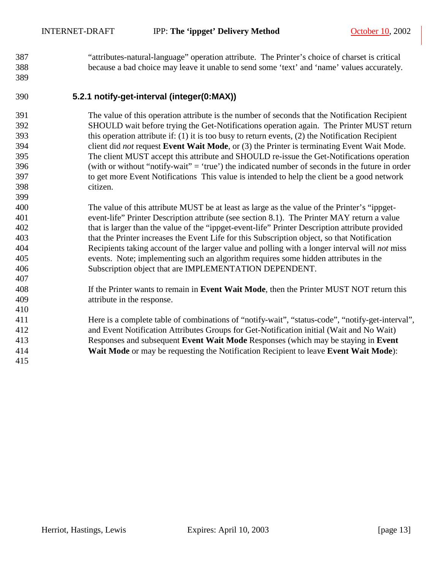<span id="page-12-0"></span>387 "attributes-natural-language" operation attribute. The Printer's choice of charset is critical 388 because a bad choice may leave it unable to send some 'text' and 'name' values accurately.

#### 389

399

407

410

415

#### 390 **5.2.1 notify-get-interval (integer(0:MAX))**

391 The value of this operation attribute is the number of seconds that the Notification Recipient 392 SHOULD wait before trying the Get-Notifications operation again. The Printer MUST return 393 this operation attribute if: (1) it is too busy to return events, (2) the Notification Recipient 394 client did *not* request **Event Wait Mode**, or (3) the Printer is terminating Event Wait Mode. 395 The client MUST accept this attribute and SHOULD re-issue the Get-Notifications operation 396 (with or without "notify-wait" = 'true') the indicated number of seconds in the future in order 397 to get more Event Notifications This value is intended to help the client be a good network 398 citizen.

400 The value of this attribute MUST be at least as large as the value of the Printer's "ippget-401 event-life" Printer Description attribute (see section [8.1\)](#page-17-0). The Printer MAY return a value 402 that is larger than the value of the "ippget-event-life" Printer Description attribute provided 403 that the Printer increases the Event Life for this Subscription object, so that Notification 404 Recipients taking account of the larger value and polling with a longer interval will *not* miss 405 events. Note; implementing such an algorithm requires some hidden attributes in the 406 Subscription object that are IMPLEMENTATION DEPENDENT.

#### 408 If the Printer wants to remain in **Event Wait Mode**, then the Printer MUST NOT return this 409 attribute in the response.

411 Here is a complete table of combinations of "notify-wait", "status-code", "notify-get-interval", 412 and Event Notification Attributes Groups for Get-Notification initial (Wait and No Wait) 413 Responses and subsequent **Event Wait Mode** Responses (which may be staying in **Event**  414 **Wait Mode** or may be requesting the Notification Recipient to leave **Event Wait Mode**):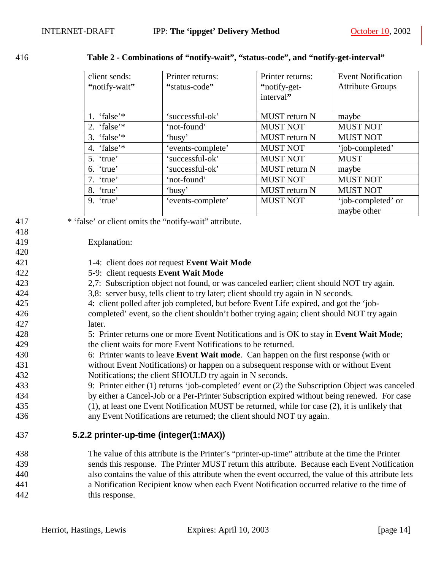<span id="page-13-0"></span>

416 **Table 2 - Combinations of "notify-wait", "status-code", and "notify-get-interval"** 

| client sends:  | Printer returns:  | Printer returns:     | <b>Event Notification</b> |
|----------------|-------------------|----------------------|---------------------------|
| "notify-wait"  | "status-code"     | "notify-get-         | <b>Attribute Groups</b>   |
|                |                   | interval"            |                           |
|                |                   |                      |                           |
| 1. 'false'*    | 'successful-ok'   | MUST return N        | maybe                     |
| 2. 'false'*    | 'not-found'       | <b>MUST NOT</b>      | <b>MUST NOT</b>           |
| 3. 'false' $*$ | 'busy'            | <b>MUST</b> return N | <b>MUST NOT</b>           |
| 4. 'false'*    | 'events-complete' | <b>MUST NOT</b>      | 'iob-completed'           |
| 5. 'true'      | 'successful-ok'   | <b>MUST NOT</b>      | <b>MUST</b>               |
| 6. 'true'      | 'successful-ok'   | <b>MUST</b> return N | maybe                     |
| 7. 'true'      | 'not-found'       | <b>MUST NOT</b>      | <b>MUST NOT</b>           |
| 'true'<br>8.   | 'busy'            | MUST return N        | <b>MUST NOT</b>           |
| $9.$ 'true'    | 'events-complete' | <b>MUST NOT</b>      | 'job-completed' or        |
|                |                   |                      | maybe other               |

417 \* 'false' or client omits the "notify-wait" attribute.

#### 419 Explanation:

420

418

- 421 1-4: client does *not* request **Event Wait Mode**
- 422 5-9: client requests **Event Wait Mode**
- 423 2,7: Subscription object not found, or was canceled earlier; client should NOT try again.
- 424 3,8: server busy, tells client to try later; client should try again in N seconds.
- 425 4: client polled after job completed, but before Event Life expired, and got the 'job-426 completed' event, so the client shouldn't bother trying again; client should NOT try again
- 427 later.
- 428 5: Printer returns one or more Event Notifications and is OK to stay in **Event Wait Mode**; 429 the client waits for more Event Notifications to be returned.
- 430 6: Printer wants to leave **Event Wait mode**. Can happen on the first response (with or
- 431 without Event Notifications) or happen on a subsequent response with or without Event 432 Notifications; the client SHOULD try again in N seconds.
- 433 9: Printer either (1) returns 'job-completed' event or (2) the Subscription Object was canceled
- 434 by either a Cancel-Job or a Per-Printer Subscription expired without being renewed. For case
- 435 (1), at least one Event Notification MUST be returned, while for case (2), it is unlikely that
- 436 any Event Notifications are returned; the client should NOT try again.

#### 437 **5.2.2 printer-up-time (integer(1:MAX))**

438 The value of this attribute is the Printer's "printer-up-time" attribute at the time the Printer 439 sends this response. The Printer MUST return this attribute. Because each Event Notification 440 also contains the value of this attribute when the event occurred, the value of this attribute lets 441 a Notification Recipient know when each Event Notification occurred relative to the time of 442 this response.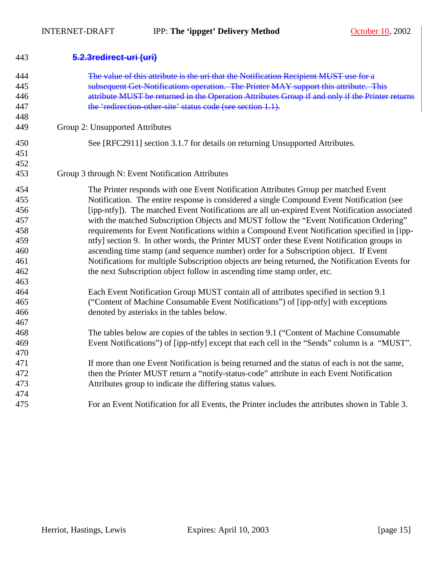<span id="page-14-0"></span>

| 443 | 5.2.3redirect-uri (uri)                                                                         |
|-----|-------------------------------------------------------------------------------------------------|
| 444 | The value of this attribute is the uri that the Notification Recipient MUST use for a           |
| 445 | subsequent Get-Notifications operation. The Printer MAY support this attribute. This            |
| 446 | attribute MUST be returned in the Operation Attributes Group if and only if the Printer returns |
| 447 | the 'redirection other site' status code (see section 1.1).                                     |
| 448 |                                                                                                 |
| 449 | Group 2: Unsupported Attributes                                                                 |
| 450 | See [RFC2911] section 3.1.7 for details on returning Unsupported Attributes.                    |
| 451 |                                                                                                 |
| 452 |                                                                                                 |
| 453 | Group 3 through N: Event Notification Attributes                                                |
| 454 | The Printer responds with one Event Notification Attributes Group per matched Event             |
| 455 | Notification. The entire response is considered a single Compound Event Notification (see       |
| 456 | [ipp-ntfy]). The matched Event Notifications are all un-expired Event Notification associated   |
| 457 | with the matched Subscription Objects and MUST follow the "Event Notification Ordering"         |
| 458 | requirements for Event Notifications within a Compound Event Notification specified in [ipp-    |
| 459 | ntfy] section 9. In other words, the Printer MUST order these Event Notification groups in      |
| 460 | ascending time stamp (and sequence number) order for a Subscription object. If Event            |
| 461 | Notifications for multiple Subscription objects are being returned, the Notification Events for |
| 462 | the next Subscription object follow in ascending time stamp order, etc.                         |
| 463 |                                                                                                 |
| 464 | Each Event Notification Group MUST contain all of attributes specified in section 9.1           |
| 465 | ("Content of Machine Consumable Event Notifications") of [ipp-ntfy] with exceptions             |
| 466 | denoted by asterisks in the tables below.                                                       |
| 467 |                                                                                                 |
| 468 | The tables below are copies of the tables in section 9.1 ("Content of Machine Consumable        |
| 469 | Event Notifications") of [ipp-ntfy] except that each cell in the "Sends" column is a "MUST".    |
| 470 |                                                                                                 |
| 471 | If more than one Event Notification is being returned and the status of each is not the same,   |
| 472 | then the Printer MUST return a "notify-status-code" attribute in each Event Notification        |
| 473 | Attributes group to indicate the differing status values.                                       |
| 474 |                                                                                                 |
| 475 | For an Event Notification for all Events, the Printer includes the attributes shown in Table 3. |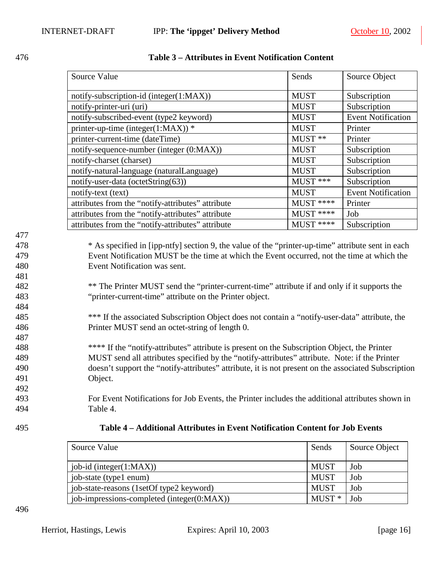|                                                                                                       | Source Value                                                                                                                                                                                                                                                                                                                                                                                                                                                                                                                                                                                                                                                                                                                                                                                                                                                      | Sends       | Source Object             |
|-------------------------------------------------------------------------------------------------------|-------------------------------------------------------------------------------------------------------------------------------------------------------------------------------------------------------------------------------------------------------------------------------------------------------------------------------------------------------------------------------------------------------------------------------------------------------------------------------------------------------------------------------------------------------------------------------------------------------------------------------------------------------------------------------------------------------------------------------------------------------------------------------------------------------------------------------------------------------------------|-------------|---------------------------|
|                                                                                                       | notify-subscription-id (integer(1:MAX))                                                                                                                                                                                                                                                                                                                                                                                                                                                                                                                                                                                                                                                                                                                                                                                                                           | <b>MUST</b> | Subscription              |
|                                                                                                       | notify-printer-uri (uri)                                                                                                                                                                                                                                                                                                                                                                                                                                                                                                                                                                                                                                                                                                                                                                                                                                          | <b>MUST</b> | Subscription              |
|                                                                                                       | notify-subscribed-event (type2 keyword)                                                                                                                                                                                                                                                                                                                                                                                                                                                                                                                                                                                                                                                                                                                                                                                                                           | <b>MUST</b> | <b>Event Notification</b> |
|                                                                                                       | printer-up-time (integer(1:MAX)) *                                                                                                                                                                                                                                                                                                                                                                                                                                                                                                                                                                                                                                                                                                                                                                                                                                | <b>MUST</b> | Printer                   |
|                                                                                                       | printer-current-time (dateTime)                                                                                                                                                                                                                                                                                                                                                                                                                                                                                                                                                                                                                                                                                                                                                                                                                                   | MUST **     | Printer                   |
|                                                                                                       | notify-sequence-number (integer (0:MAX))                                                                                                                                                                                                                                                                                                                                                                                                                                                                                                                                                                                                                                                                                                                                                                                                                          | <b>MUST</b> | Subscription              |
|                                                                                                       | notify-charset (charset)                                                                                                                                                                                                                                                                                                                                                                                                                                                                                                                                                                                                                                                                                                                                                                                                                                          | <b>MUST</b> | Subscription              |
|                                                                                                       | notify-natural-language (naturalLanguage)                                                                                                                                                                                                                                                                                                                                                                                                                                                                                                                                                                                                                                                                                                                                                                                                                         | <b>MUST</b> | Subscription              |
|                                                                                                       | notify-user-data (octetString(63))                                                                                                                                                                                                                                                                                                                                                                                                                                                                                                                                                                                                                                                                                                                                                                                                                                | MUST ***    | Subscription              |
|                                                                                                       | notify-text (text)                                                                                                                                                                                                                                                                                                                                                                                                                                                                                                                                                                                                                                                                                                                                                                                                                                                | <b>MUST</b> | <b>Event Notification</b> |
|                                                                                                       | attributes from the "notify-attributes" attribute                                                                                                                                                                                                                                                                                                                                                                                                                                                                                                                                                                                                                                                                                                                                                                                                                 | MUST ****   | Printer                   |
|                                                                                                       | attributes from the "notify-attributes" attribute                                                                                                                                                                                                                                                                                                                                                                                                                                                                                                                                                                                                                                                                                                                                                                                                                 | $MUST$ **** | Job                       |
|                                                                                                       | attributes from the "notify-attributes" attribute                                                                                                                                                                                                                                                                                                                                                                                                                                                                                                                                                                                                                                                                                                                                                                                                                 | $MUST$ **** | Subscription              |
| 478<br>479<br>480<br>481<br>482<br>483<br>484<br>485<br>486<br>487<br>488<br>489<br>490<br>491<br>492 | * As specified in [ipp-ntfy] section 9, the value of the "printer-up-time" attribute sent in each<br>Event Notification MUST be the time at which the Event occurred, not the time at which the<br>Event Notification was sent.<br>** The Printer MUST send the "printer-current-time" attribute if and only if it supports the<br>"printer-current-time" attribute on the Printer object.<br>*** If the associated Subscription Object does not contain a "notify-user-data" attribute, the<br>Printer MUST send an octet-string of length 0.<br>**** If the "notify-attributes" attribute is present on the Subscription Object, the Printer<br>MUST send all attributes specified by the "notify-attributes" attribute. Note: if the Printer<br>doesn't support the "notify-attributes" attribute, it is not present on the associated Subscription<br>Object. |             |                           |
| 493<br>494                                                                                            | For Event Notifications for Job Events, the Printer includes the additional attributes shown in<br>Table 4.                                                                                                                                                                                                                                                                                                                                                                                                                                                                                                                                                                                                                                                                                                                                                       |             |                           |

<span id="page-15-0"></span>

| 476 | Table 3 – Attributes in Event Notification Content |
|-----|----------------------------------------------------|
|     |                                                    |

477

481

484

487

491 492

| 495<br>Table 4 – Additional Attributes in Event Notification Content for Job Events |
|-------------------------------------------------------------------------------------|
|-------------------------------------------------------------------------------------|

| Source Value                               | Sends       | Source Object |
|--------------------------------------------|-------------|---------------|
| job-id (integer $(1:MAX)$ )                | <b>MUST</b> | Job           |
| job-state (type1 enum)                     | <b>MUST</b> | Job           |
| job-state-reasons (1setOf type2 keyword)   | <b>MUST</b> | Job           |
| job-impressions-completed (integer(0:MAX)) | $MUST*$     | Job           |

496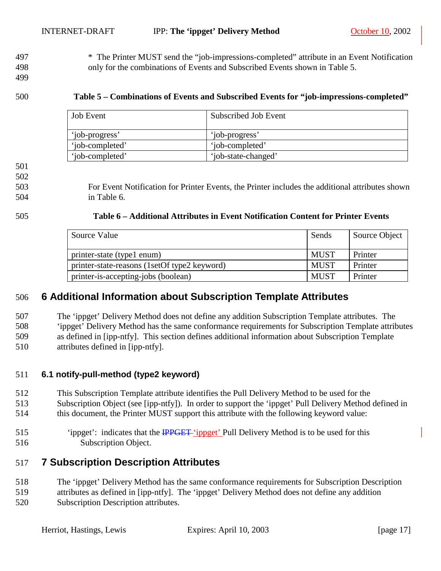<span id="page-16-0"></span>497 \* The Printer MUST send the "job-impressions-completed" attribute in an Event Notification 498 only for the combinations of Events and Subscribed Events shown in Table 5.

499

#### 500 **Table 5 – Combinations of Events and Subscribed Events for "job-impressions-completed"**

| Job Event       | Subscribed Job Event |
|-----------------|----------------------|
| 'job-progress'  | 'job-progress'       |
| 'job-completed' | 'job-completed'      |
| 'iob-completed' | 'job-state-changed'  |

502

503 For Event Notification for Printer Events, the Printer includes the additional attributes shown 504 in Table 6.

#### 505 **Table 6 – Additional Attributes in Event Notification Content for Printer Events**

| Source Value                                 | Sends       | Source Object |
|----------------------------------------------|-------------|---------------|
| printer-state (type1 enum)                   | <b>MUST</b> | Printer       |
| printer-state-reasons (1setOf type2 keyword) | <b>MUST</b> | Printer       |
| printer-is-accepting-jobs (boolean)          | <b>MUST</b> | Printer       |

## 506 **6 Additional Information about Subscription Template Attributes**

507 The 'ippget' Delivery Method does not define any addition Subscription Template attributes. The 508 'ippget' Delivery Method has the same conformance requirements for Subscription Template attributes 509 as defined in [ipp-ntfy]. This section defines additional information about Subscription Template 510 attributes defined in [ipp-ntfy].

#### 511 **6.1 notify-pull-method (type2 keyword)**

- 512 This Subscription Template attribute identifies the Pull Delivery Method to be used for the
- 513 Subscription Object (see [ipp-ntfy]). In order to support the 'ippget' Pull Delivery Method defined in
- 514 this document, the Printer MUST support this attribute with the following keyword value:
- 515 'ippget': indicates that the IPPGET 'ippget' Pull Delivery Method is to be used for this 516 Subscription Object.

## 517 **7 Subscription Description Attributes**

- 518 The 'ippget' Delivery Method has the same conformance requirements for Subscription Description
- 519 attributes as defined in [ipp-ntfy]. The 'ippget' Delivery Method does not define any addition 520 Subscription Description attributes.

<sup>501</sup>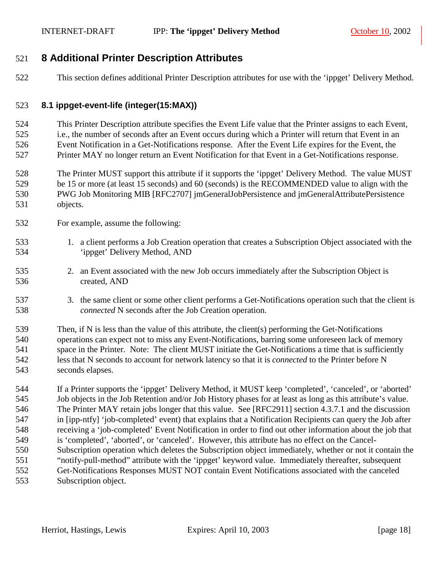## <span id="page-17-0"></span>521 **8 Additional Printer Description Attributes**

522 This section defines additional Printer Description attributes for use with the 'ippget' Delivery Method.

#### 523 **8.1 ippget-event-life (integer(15:MAX))**

524 This Printer Description attribute specifies the Event Life value that the Printer assigns to each Event, 525 i.e., the number of seconds after an Event occurs during which a Printer will return that Event in an 526 Event Notification in a Get-Notifications response. After the Event Life expires for the Event, the 527 Printer MAY no longer return an Event Notification for that Event in a Get-Notifications response.

528 The Printer MUST support this attribute if it supports the 'ippget' Delivery Method. The value MUST 529 be 15 or more (at least 15 seconds) and 60 (seconds) is the RECOMMENDED value to align with the 530 PWG Job Monitoring MIB [RFC2707] jmGeneralJobPersistence and jmGeneralAttributePersistence 531 objects.

- 532 For example, assume the following:
- 533 1. a client performs a Job Creation operation that creates a Subscription Object associated with the 534 'ippget' Delivery Method, AND
- 535 2. an Event associated with the new Job occurs immediately after the Subscription Object is 536 created, AND
- 537 3. the same client or some other client performs a Get-Notifications operation such that the client is 538 *connected* N seconds after the Job Creation operation.

539 Then, if N is less than the value of this attribute, the client(s) performing the Get-Notifications 540 operations can expect not to miss any Event-Notifications, barring some unforeseen lack of memory 541 space in the Printer. Note: The client MUST initiate the Get-Notifications a time that is sufficiently 542 less that N seconds to account for network latency so that it is *connected* to the Printer before N 543 seconds elapses.

544 If a Printer supports the 'ippget' Delivery Method, it MUST keep 'completed', 'canceled', or 'aborted' 545 Job objects in the Job Retention and/or Job History phases for at least as long as this attribute's value. 546 The Printer MAY retain jobs longer that this value. See [RFC2911] section 4.3.7.1 and the discussion 547 in [ipp-ntfy] 'job-completed' event) that explains that a Notification Recipients can query the Job after 548 receiving a 'job-completed' Event Notification in order to find out other information about the job that 549 is 'completed', 'aborted', or 'canceled'. However, this attribute has no effect on the Cancel-550 Subscription operation which deletes the Subscription object immediately, whether or not it contain the 551 "notify-pull-method" attribute with the 'ippget' keyword value. Immediately thereafter, subsequent 552 Get-Notifications Responses MUST NOT contain Event Notifications associated with the canceled 553 Subscription object.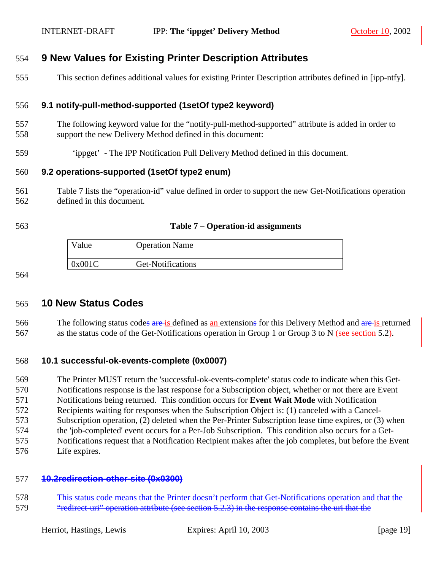## <span id="page-18-0"></span>554 **9 New Values for Existing Printer Description Attributes**

555 This section defines additional values for existing Printer Description attributes defined in [ipp-ntfy].

#### 556 **9.1 notify-pull-method-supported (1setOf type2 keyword)**

- 557 The following keyword value for the "notify-pull-method-supported" attribute is added in order to 558 support the new Delivery Method defined in this document:
- 559 'ippget' The IPP Notification Pull Delivery Method defined in this document.

#### 560 **9.2 operations-supported (1setOf type2 enum)**

- 561 Table 7 lists the "operation-id" value defined in order to support the new Get-Notifications operation 562 defined in this document.
- 

#### 563 **Table 7 – Operation-id assignments**

| Value  | <b>Operation Name</b> |
|--------|-----------------------|
| 0x001C | Get-Notifications     |

564

#### 565 **10 New Status Codes**

566 The following status codes are is defined as an extensions for this Delivery Method and are is returned 567 as the status code of the Get-Notifications operation in Group 1 or Group 3 to N (see section [5.2\)](#page-9-0).

#### 568 **10.1 successful-ok-events-complete (0x0007)**

569 The Printer MUST return the 'successful-ok-events-complete' status code to indicate when this Get-570 Notifications response is the last response for a Subscription object, whether or not there are Event

571 Notifications being returned. This condition occurs for **Event Wait Mode** with Notification

572 Recipients waiting for responses when the Subscription Object is: (1) canceled with a Cancel-

- 573 Subscription operation, (2) deleted when the Per-Printer Subscription lease time expires, or (3) when
- 574 the 'job-completed' event occurs for a Per-Job Subscription. This condition also occurs for a Get-
- 575 Notifications request that a Notification Recipient makes after the job completes, but before the Event
- 576 Life expires.

#### 577 **10.2redirection-other-site (0x0300)**

578 This status code means that the Printer doesn't perform that Get-Notifications operation and that the 579 "Fedirect-uri" operation attribute (see section [5.2.3\)](#page-14-0) in the response contains the uri that the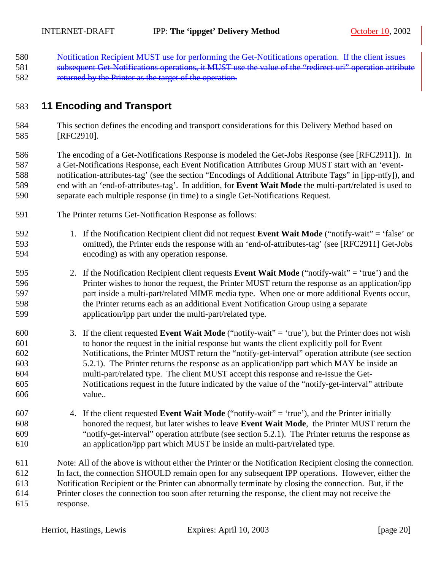- <span id="page-19-0"></span>580 Notification Recipient MUST use for performing the Get-Notifications operation. If the client issues 581 subsequent Get-Notifications operations, it MUST use the value of the "redirect-uri" operation attribute
- 582 returned by the Printer as the target of the operation.

## 583 **11 Encoding and Transport**

- 584 This section defines the encoding and transport considerations for this Delivery Method based on 585 [RFC2910].
- 586 The encoding of a Get-Notifications Response is modeled the Get-Jobs Response (see [RFC2911]). In 587 a Get-Notifications Response, each Event Notification Attributes Group MUST start with an 'event-588 notification-attributes-tag' (see the section "Encodings of Additional Attribute Tags" in [ipp-ntfy]), and 589 end with an 'end-of-attributes-tag'. In addition, for **Event Wait Mode** the multi-part/related is used to 590 separate each multiple response (in time) to a single Get-Notifications Request.
- 591 The Printer returns Get-Notification Response as follows:
- 592 1. If the Notification Recipient client did not request **Event Wait Mode** ("notify-wait" = 'false' or 593 omitted), the Printer ends the response with an 'end-of-attributes-tag' (see [RFC2911] Get-Jobs 594 encoding) as with any operation response.
- 595 2. If the Notification Recipient client requests **Event Wait Mode** ("notify-wait" = 'true') and the 596 Printer wishes to honor the request, the Printer MUST return the response as an application/ipp 597 part inside a multi-part/related MIME media type. When one or more additional Events occur, 598 the Printer returns each as an additional Event Notification Group using a separate 599 application/ipp part under the multi-part/related type.
- 600 3. If the client requested **Event Wait Mode** ("notify-wait" = 'true'), but the Printer does not wish 601 to honor the request in the initial response but wants the client explicitly poll for Event 602 Notifications, the Printer MUST return the "notify-get-interval" operation attribute (see section 603 [5.2.1\)](#page-12-0). The Printer returns the response as an application/ipp part which MAY be inside an 604 multi-part/related type. The client MUST accept this response and re-issue the Get-605 Notifications request in the future indicated by the value of the "notify-get-interval" attribute 606 value..
- 607 4. If the client requested **Event Wait Mode** ("notify-wait" = 'true'), and the Printer initially 608 honored the request, but later wishes to leave **Event Wait Mode**, the Printer MUST return the 609 "notify-get-interval" operation attribute (see section [5.2.1\)](#page-12-0). The Printer returns the response as 610 an application/ipp part which MUST be inside an multi-part/related type.
- 611 Note: All of the above is without either the Printer or the Notification Recipient closing the connection. 612 In fact, the connection SHOULD remain open for any subsequent IPP operations. However, either the 613 Notification Recipient or the Printer can abnormally terminate by closing the connection. But, if the 614 Printer closes the connection too soon after returning the response, the client may not receive the 615 response.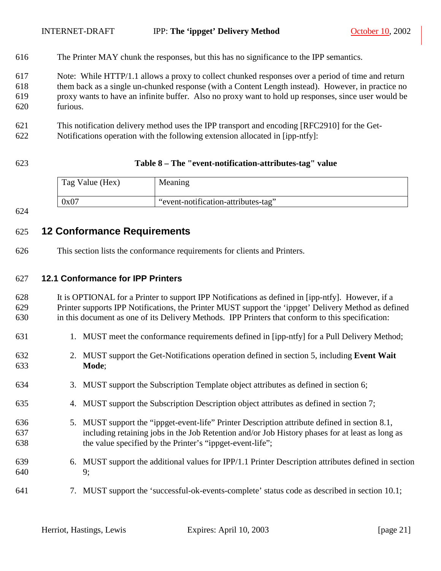<span id="page-20-0"></span>616 The Printer MAY chunk the responses, but this has no significance to the IPP semantics.

617 Note: While HTTP/1.1 allows a proxy to collect chunked responses over a period of time and return 618 them back as a single un-chunked response (with a Content Length instead). However, in practice no 619 proxy wants to have an infinite buffer. Also no proxy want to hold up responses, since user would be 620 furious.

- 621 This notification delivery method uses the IPP transport and encoding [RFC2910] for the Get-
- 622 Notifications operation with the following extension allocated in [ipp-ntfy]:
- 

#### 623 **Table 8 – The "event-notification-attributes-tag" value**

| Tag Value (Hex) | Meaning                             |
|-----------------|-------------------------------------|
| 0x07            | "event-notification-attributes-tag" |

624

## 625 **12 Conformance Requirements**

626 This section lists the conformance requirements for clients and Printers.

#### 627 **12.1 Conformance for IPP Printers**

628 It is OPTIONAL for a Printer to support IPP Notifications as defined in [ipp-ntfy]. However, if a 629 Printer supports IPP Notifications, the Printer MUST support the 'ippget' Delivery Method as defined 630 in this document as one of its Delivery Methods. IPP Printers that conform to this specification:

- 631 1. MUST meet the conformance requirements defined in [ipp-ntfy] for a Pull Delivery Method;
- 632 2. MUST support the Get-Notifications operation defined in section [5,](#page-7-0) including **Event Wait**  633 **Mode**;
- 634 3. MUST support the Subscription Template object attributes as defined in section [6;](#page-16-0)
- 635 4. MUST support the Subscription Description object attributes as defined in section [7;](#page-16-0)
- 636 5. MUST support the "ippget-event-life" Printer Description attribute defined in section [8.1,](#page-17-0) 637 including retaining jobs in the Job Retention and/or Job History phases for at least as long as 638 the value specified by the Printer's "ippget-event-life";
- 639 6. MUST support the additional values for IPP/1.1 Printer Description attributes defined in section 640 [9;](#page-18-0)
- 641 7. MUST support the 'successful-ok-events-complete' status code as described in section [10.1;](#page-18-0)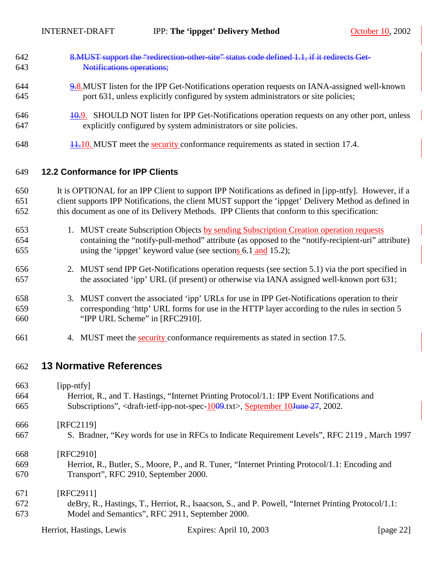<span id="page-21-0"></span>

| 642 | 8. MUST support the "redirection other site" status code defined 1.1, if it redirects Get        |
|-----|--------------------------------------------------------------------------------------------------|
| 643 | <b>Notifications operations:</b>                                                                 |
| 644 | $9.8$ . MUST listen for the IPP Get-Notifications operation requests on IANA-assigned well-known |
| 645 | port 631, unless explicitly configured by system administrators or site policies;                |
| 646 | 40.9. SHOULD NOT listen for IPP Get-Notifications operation requests on any other port, unless   |
| 647 | explicitly configured by system administrators or site policies.                                 |
| 648 | $\frac{11.10}{11.10}$ MUST meet the security conformance requirements as stated in section 17.4. |

## 649 **12.2 Conformance for IPP Clients**

650 It is OPTIONAL for an IPP Client to support IPP Notifications as defined in [ipp-ntfy]. However, if a 651 client supports IPP Notifications, the client MUST support the 'ippget' Delivery Method as defined in 652 this document as one of its Delivery Methods. IPP Clients that conform to this specification:

- 653 1. MUST create Subscription Objects by sending Subscription Creation operation requests 654 containing the "notify-pull-method" attribute (as opposed to the "notify-recipient-uri" attribute) 655 using the 'ippget' keyword value (see sections [6.1](#page-16-0) and [15.2\)](#page-23-0);
- 656 2. MUST send IPP Get-Notifications operation requests (see section [5.1\)](#page-8-0) via the port specified in 657 the associated 'ipp' URL (if present) or otherwise via IANA assigned well-known port 631;
- 658 3. MUST convert the associated 'ipp' URLs for use in IPP Get-Notifications operation to their 659 corresponding 'http' URL forms for use in the HTTP layer according to the rules in section 5 660 "IPP URL Scheme" in [RFC2910].
- 661 4. MUST meet the security conformance requirements as stated in section [17.5.](#page-26-0)

## 662 **13 Normative References**

| 663 | $[$ ipp-ntfy $]$                                                                                                                   |
|-----|------------------------------------------------------------------------------------------------------------------------------------|
| 664 | Herriot, R., and T. Hastings, "Internet Printing Protocol/1.1: IPP Event Notifications and                                         |
| 665 | Subscriptions", <draft-ietf-ipp-not-spec-<math>1009.txt&gt;, September 10<del>June 27</del>, 2002.</draft-ietf-ipp-not-spec-<math> |
| 666 | [RFC2119]                                                                                                                          |
| 667 | S. Bradner, "Key words for use in RFCs to Indicate Requirement Levels", RFC 2119, March 1997                                       |
| 668 | [RFC2910]                                                                                                                          |
| 669 | Herriot, R., Butler, S., Moore, P., and R. Tuner, "Internet Printing Protocol/1.1: Encoding and                                    |
| 670 | Transport", RFC 2910, September 2000.                                                                                              |
| 671 | [RFC2911]                                                                                                                          |
| 672 | deBry, R., Hastings, T., Herriot, R., Isaacson, S., and P. Powell, "Internet Printing Protocol/1.1:                                |
| 673 | Model and Semantics", RFC 2911, September 2000.                                                                                    |

| Herriot, Hastings, Lewis | Expires: April 10, 2003 | [ $page 22$ ] |
|--------------------------|-------------------------|---------------|
|--------------------------|-------------------------|---------------|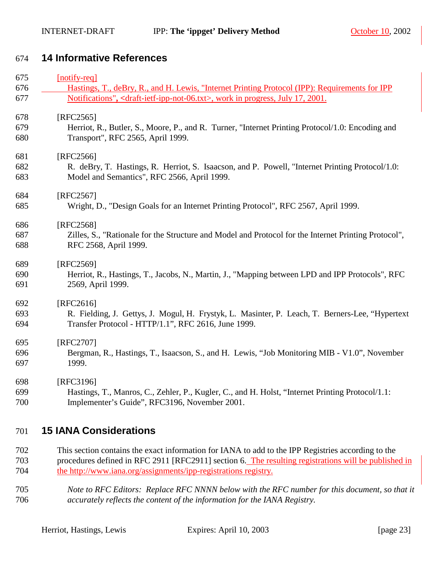## <span id="page-22-0"></span>674 **14 Informative References**

| 675 | [notify-req]                                                                                              |
|-----|-----------------------------------------------------------------------------------------------------------|
| 676 | Hastings, T., deBry, R., and H. Lewis, "Internet Printing Protocol (IPP): Requirements for IPP            |
| 677 | Notifications", <draft-ietf-ipp-not-06.txt>, work in progress, July 17, 2001.</draft-ietf-ipp-not-06.txt> |
| 678 | $[RFC2565]$                                                                                               |
| 679 | Herriot, R., Butler, S., Moore, P., and R. Turner, "Internet Printing Protocol/1.0: Encoding and          |
| 680 | Transport", RFC 2565, April 1999.                                                                         |
| 681 | [RFC2566]                                                                                                 |
| 682 | R. deBry, T. Hastings, R. Herriot, S. Isaacson, and P. Powell, "Internet Printing Protocol/1.0:           |
| 683 | Model and Semantics", RFC 2566, April 1999.                                                               |
| 684 | [RFC2567]                                                                                                 |
| 685 | Wright, D., "Design Goals for an Internet Printing Protocol", RFC 2567, April 1999.                       |
| 686 | [RFC2568]                                                                                                 |
| 687 | Zilles, S., "Rationale for the Structure and Model and Protocol for the Internet Printing Protocol",      |
| 688 | RFC 2568, April 1999.                                                                                     |
| 689 | [RFC2569]                                                                                                 |
| 690 | Herriot, R., Hastings, T., Jacobs, N., Martin, J., "Mapping between LPD and IPP Protocols", RFC           |
| 691 | 2569, April 1999.                                                                                         |
| 692 | [RFC2616]                                                                                                 |
| 693 | R. Fielding, J. Gettys, J. Mogul, H. Frystyk, L. Masinter, P. Leach, T. Berners-Lee, "Hypertext           |
| 694 | Transfer Protocol - HTTP/1.1", RFC 2616, June 1999.                                                       |
| 695 | [RFC2707]                                                                                                 |
| 696 | Bergman, R., Hastings, T., Isaacson, S., and H. Lewis, "Job Monitoring MIB - V1.0", November              |
| 697 | 1999.                                                                                                     |
| 698 | [RFC3196]                                                                                                 |
| 699 | Hastings, T., Manros, C., Zehler, P., Kugler, C., and H. Holst, "Internet Printing Protocol/1.1:          |
| 700 | Implementer's Guide", RFC3196, November 2001.                                                             |

## 701 **15 IANA Considerations**

- 702 This section contains the exact information for IANA to add to the IPP Registries according to the 703 procedures defined in RFC 2911 [RFC2911] section 6. The resulting registrations will be published in 704 the http://www.iana.org/assignments/ipp-registrations registry.
- 705 *Note to RFC Editors: Replace RFC NNNN below with the RFC number for this document, so that it*  706 *accurately reflects the content of the information for the IANA Registry.*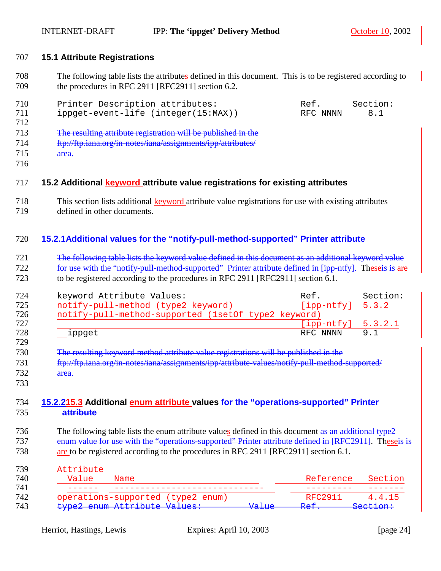#### <span id="page-23-0"></span>707 **15.1 Attribute Registrations**

708 The following table lists the attributes defined in this document. This is to be registered according to 709 the procedures in RFC 2911 [RFC2911] section 6.2.

| 710 | Printer Description attributes:                               | Ref.     | Section: |  |
|-----|---------------------------------------------------------------|----------|----------|--|
| 711 | $ippect-event-life (integer(15:MAX))$                         | RFC NNNN | 8.1      |  |
| 712 |                                                               |          |          |  |
| 713 | The resulting attribute registration will be published in the |          |          |  |
| 714 | ftp://ftp.iana.org/in-notes/iana/assignments/ipp/attributes/  |          |          |  |
| 715 | <del>area.</del>                                              |          |          |  |

716

#### 717 **15.2 Additional keyword attribute value registrations for existing attributes**

- 718 This section lists additional keyword attribute value registrations for use with existing attributes
- 719 defined in other documents.

#### 720 **15.2.1Additional values for the "notify-pull-method-supported" Printer attribute**

721 The following table lists the keyword value defined in this document as an additional keyword value 722 for use with the "notify-pull-method-supported" Printer attribute defined in [ipp-ntfy]. Theseis is are 723 to be registered according to the procedures in RFC 2911 [RFC2911] section 6.1.

| 724        | keyword Attribute Values:                           | Ref.                 | Section: |
|------------|-----------------------------------------------------|----------------------|----------|
| 725        | notify-pull-method (type2 keyword)                  | $[ipp-ntfy]$ 5.3.2   |          |
| 726        | notify-pull-method-supported (1setOf type2 keyword) |                      |          |
| 727        |                                                     | $[ipp-ntfy] 5.3.2.1$ |          |
| 728<br>729 | ippget                                              | RFC NNNN             | 9 1      |

- 730 The resulting keyword method attribute value registrations will be published in the 731 ftp://ftp.iana.org/in-notes/iana/assignments/ipp/attribute-values/notify-pull-method-supported/ 732 area.
- 733

#### 734 **15.2.215.3 Additional enum attribute values for the "operations-supported" Printer**  735 **attribute**

736 The following table lists the enum attribute values defined in this document as an additional type2 737 enum value for use with the "operations-supported" Printer attribute defined in [RFC2911]. Theseis is 738 are to be registered according to the procedures in RFC 2911 [RFC2911] section 6.1.

| Attribute |                                   |                               |                               |                     |
|-----------|-----------------------------------|-------------------------------|-------------------------------|---------------------|
| Value     | Name                              |                               | Reference                     | Section             |
|           |                                   |                               |                               |                     |
|           | operations-supported (type2 enum) |                               | RFC2911                       | 4.4.15              |
|           | type2 enum Attribute Values:      | $57-7.12$<br><del>varac</del> | $D \cap F$<br><del>RCI.</del> | <del>Section:</del> |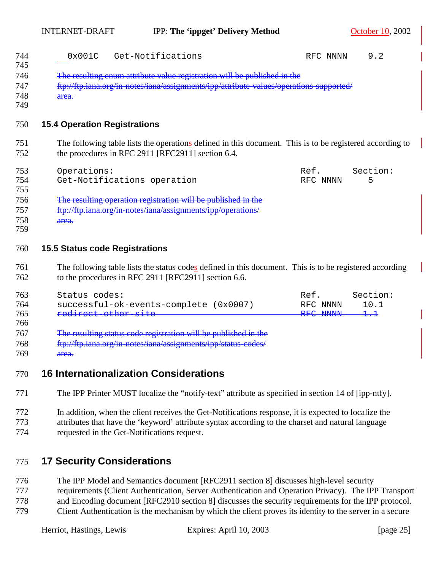INTERNET-DRAFT IPP: **The 'ippget' Delivery Method** October 10, 2002

<span id="page-24-0"></span>

| 744<br>745<br>746<br>747<br>748<br>749        | Get-Notifications<br>0x001C<br>The resulting enum attribute value registration will be published in the<br>ftp://ftp.iana.org/in-notes/iana/assignments/ipp/attribute-values/operations-supported/<br>area.         | RFC NNNN                     | 9.2                                                  |
|-----------------------------------------------|---------------------------------------------------------------------------------------------------------------------------------------------------------------------------------------------------------------------|------------------------------|------------------------------------------------------|
| 750                                           | <b>15.4 Operation Registrations</b>                                                                                                                                                                                 |                              |                                                      |
| 751<br>752                                    | The following table lists the operations defined in this document. This is to be registered according to<br>the procedures in RFC 2911 [RFC2911] section 6.4.                                                       |                              |                                                      |
| 753<br>754<br>755<br>756<br>757<br>758<br>759 | Operations:<br>Get-Notifications operation<br>The resulting operation registration will be published in the<br>ftp://ftp.iana.org/in-notes/iana/assignments/ipp/operations/<br>area.                                | Ref.<br>RFC NNNN             | Section:<br>5                                        |
| 760                                           | <b>15.5 Status code Registrations</b>                                                                                                                                                                               |                              |                                                      |
| 761<br>762                                    | The following table lists the status codes defined in this document. This is to be registered according<br>to the procedures in RFC 2911 [RFC2911] section 6.6.                                                     |                              |                                                      |
| 763<br>764<br>765<br>766<br>767<br>768        | Status codes:<br>successful-ok-events-complete (0x0007)<br>redirect other site<br>The resulting status code registration will be published in the<br>ftp://ftp.iana.org/in-notes/iana/assignments/ipp/status-codes/ | Ref.<br>RFC NNNN<br>RFC NNNN | Section:<br>10.1<br>$\textcolor{red}{\texttt{1.-1}}$ |
| 769<br>770                                    | area.<br><b>16 Internationalization Considerations</b>                                                                                                                                                              |                              |                                                      |

- 771 The IPP Printer MUST localize the "notify-text" attribute as specified in section 14 of [ipp-ntfy].
- 772 In addition, when the client receives the Get-Notifications response, it is expected to localize the 773 attributes that have the 'keyword' attribute syntax according to the charset and natural language
- 774 requested in the Get-Notifications request.

# 775 **17 Security Considerations**

776 The IPP Model and Semantics document [RFC2911 section 8] discusses high-level security 777 requirements (Client Authentication, Server Authentication and Operation Privacy). The IPP Transport 778 and Encoding document [RFC2910 section 8] discusses the security requirements for the IPP protocol. 779 Client Authentication is the mechanism by which the client proves its identity to the server in a secure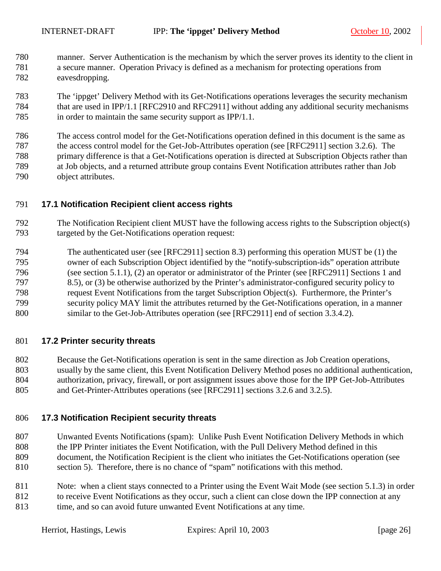<span id="page-25-0"></span>780 manner. Server Authentication is the mechanism by which the server proves its identity to the client in 781 a secure manner. Operation Privacy is defined as a mechanism for protecting operations from 782 eavesdropping.

783 The 'ippget' Delivery Method with its Get-Notifications operations leverages the security mechanism 784 that are used in IPP/1.1 [RFC2910 and RFC2911] without adding any additional security mechanisms 785 in order to maintain the same security support as IPP/1.1.

786 The access control model for the Get-Notifications operation defined in this document is the same as 787 the access control model for the Get-Job-Attributes operation (see [RFC2911] section 3.2.6). The 788 primary difference is that a Get-Notifications operation is directed at Subscription Objects rather than 789 at Job objects, and a returned attribute group contains Event Notification attributes rather than Job 790 object attributes.

#### 791 **17.1 Notification Recipient client access rights**

- 792 The Notification Recipient client MUST have the following access rights to the Subscription object(s) 793 targeted by the Get-Notifications operation request:
- 794 The authenticated user (see [RFC2911] section 8.3) performing this operation MUST be (1) the 795 owner of each Subscription Object identified by the "notify-subscription-ids" operation attribute 796 (see section [5.1.1\)](#page-8-0), (2) an operator or administrator of the Printer (see [RFC2911] Sections 1 and 797 8.5), or (3) be otherwise authorized by the Printer's administrator-configured security policy to 798 request Event Notifications from the target Subscription Object(s). Furthermore, the Printer's 799 security policy MAY limit the attributes returned by the Get-Notifications operation, in a manner 800 similar to the Get-Job-Attributes operation (see [RFC2911] end of section 3.3.4.2).

#### 801 **17.2 Printer security threats**

802 Because the Get-Notifications operation is sent in the same direction as Job Creation operations, 803 usually by the same client, this Event Notification Delivery Method poses no additional authentication,

804 authorization, privacy, firewall, or port assignment issues above those for the IPP Get-Job-Attributes 805 and Get-Printer-Attributes operations (see [RFC2911] sections 3.2.6 and 3.2.5).

#### 806 **17.3 Notification Recipient security threats**

- 807 Unwanted Events Notifications (spam): Unlike Push Event Notification Delivery Methods in which 808 the IPP Printer initiates the Event Notification, with the Pull Delivery Method defined in this 809 document, the Notification Recipient is the client who initiates the Get-Notifications operation (see 810 section [5\)](#page-7-0). Therefore, there is no chance of "spam" notifications with this method.
- 811 Note: when a client stays connected to a Printer using the Event Wait Mode (see section [5.1.3\)](#page-9-0) in order 812 to receive Event Notifications as they occur, such a client can close down the IPP connection at any
- 813 time, and so can avoid future unwanted Event Notifications at any time.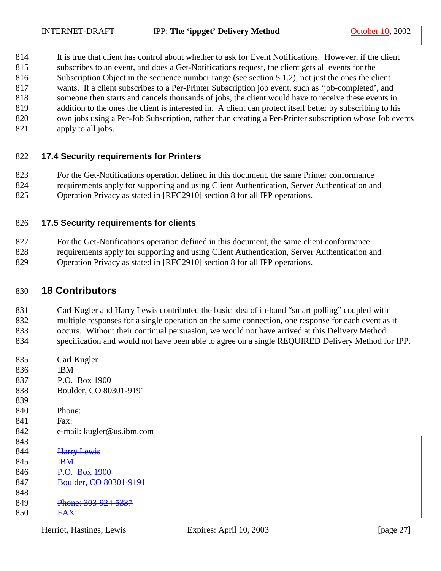- <span id="page-26-0"></span>814 It is true that client has control about whether to ask for Event Notifications. However, if the client
- 815 subscribes to an event, and does a Get-Notifications request, the client gets all events for the
- 816 Subscription Object in the sequence number range (see section [5.1.2\)](#page-9-0), not just the ones the client
- 817 wants. If a client subscribes to a Per-Printer Subscription job event, such as 'job-completed', and
- 818 someone then starts and cancels thousands of jobs, the client would have to receive these events in 819 addition to the ones the client is interested in. A client can protect itself better by subscribing to his
- 820 own jobs using a Per-Job Subscription, rather than creating a Per-Printer subscription whose Job events
- 821 apply to all jobs.

## 822 **17.4 Security requirements for Printers**

823 For the Get-Notifications operation defined in this document, the same Printer conformance 824 requirements apply for supporting and using Client Authentication, Server Authentication and

825 Operation Privacy as stated in [RFC2910] section 8 for all IPP operations.

## 826 **17.5 Security requirements for clients**

827 For the Get-Notifications operation defined in this document, the same client conformance 828 requirements apply for supporting and using Client Authentication, Server Authentication and 829 Operation Privacy as stated in [RFC2910] section 8 for all IPP operations.

## 830 **18 Contributors**

831 Carl Kugler and Harry Lewis contributed the basic idea of in-band "smart polling" coupled with 832 multiple responses for a single operation on the same connection, one response for each event as it 833 occurs. Without their continual persuasion, we would not have arrived at this Delivery Method

834 specification and would not have been able to agree on a single REQUIRED Delivery Method for IPP.

835 Carl Kugler 836 IBM 837 P.O. Box 1900 838 Boulder, CO 80301-9191 839 840 Phone: 841 Fax: 842 e-mail: kugler@us.ibm.com 843 844 **Harry Lewis** 845 **IBM** 846 P.O. Box 1900 847 Boulder, CO 80301-9191 848 849 Phone: 303-924-5337 850 FAX:

Herriot, Hastings, Lewis Expires: April 10, 2003 [page 27]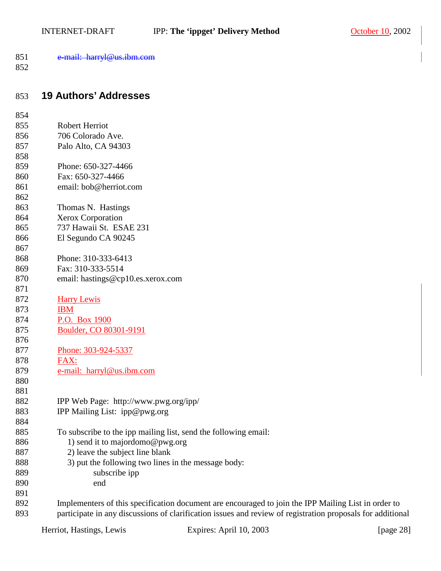<span id="page-27-0"></span>

| 851 | e-mail: harryl@us ihm com           |
|-----|-------------------------------------|
|     | $\sigma$ man. nan yre as rolli. Com |

## 853 **19 Authors' Addresses**

| 854 |                                                                                                            |
|-----|------------------------------------------------------------------------------------------------------------|
| 855 | Robert Herriot                                                                                             |
| 856 | 706 Colorado Ave.                                                                                          |
| 857 | Palo Alto, CA 94303                                                                                        |
| 858 |                                                                                                            |
| 859 | Phone: 650-327-4466                                                                                        |
| 860 | Fax: 650-327-4466                                                                                          |
| 861 | email: bob@herriot.com                                                                                     |
| 862 |                                                                                                            |
| 863 | Thomas N. Hastings                                                                                         |
| 864 | Xerox Corporation                                                                                          |
| 865 | 737 Hawaii St. ESAE 231                                                                                    |
| 866 | El Segundo CA 90245                                                                                        |
| 867 |                                                                                                            |
| 868 | Phone: 310-333-6413                                                                                        |
| 869 | Fax: 310-333-5514                                                                                          |
| 870 | email: hastings@cp10.es.xerox.com                                                                          |
| 871 |                                                                                                            |
| 872 | <b>Harry Lewis</b>                                                                                         |
| 873 | <b>IBM</b>                                                                                                 |
| 874 | P.O. Box 1900                                                                                              |
| 875 | Boulder, CO 80301-9191                                                                                     |
| 876 |                                                                                                            |
| 877 | Phone: 303-924-5337                                                                                        |
| 878 | FAX:                                                                                                       |
| 879 | e-mail: harryl@us.ibm.com                                                                                  |
| 880 |                                                                                                            |
| 881 |                                                                                                            |
| 882 | IPP Web Page: http://www.pwg.org/ipp/                                                                      |
| 883 | IPP Mailing List: ipp@pwg.org                                                                              |
| 884 |                                                                                                            |
| 885 | To subscribe to the ipp mailing list, send the following email:                                            |
| 886 | 1) send it to majordomo@pwg.org                                                                            |
| 887 | 2) leave the subject line blank                                                                            |
| 888 | 3) put the following two lines in the message body:                                                        |
| 889 | subscribe ipp                                                                                              |
| 890 | end                                                                                                        |
| 891 |                                                                                                            |
| 892 | Implementers of this specification document are encouraged to join the IPP Mailing List in order to        |
| 893 | participate in any discussions of clarification issues and review of registration proposals for additional |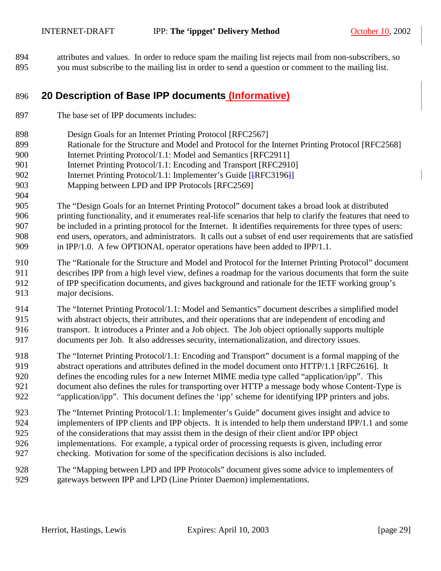<span id="page-28-0"></span>894 attributes and values. In order to reduce spam the mailing list rejects mail from non-subscribers, so 895 you must subscribe to the mailing list in order to send a question or comment to the mailing list.

## 896 **20 Description of Base IPP documents (Informative)**

- 897 The base set of IPP documents includes:
- 898 Design Goals for an Internet Printing Protocol [RFC2567]
- 899 Rationale for the Structure and Model and Protocol for the Internet Printing Protocol [RFC2568]
- 900 Internet Printing Protocol/1.1: Model and Semantics [RFC2911]
- 901 Internet Printing Protocol/1.1: Encoding and Transport [RFC2910]
- 902 Internet Printing Protocol/1.1: Implementer's Guide [ $[REC3196]$ ]
- 903 Mapping between LPD and IPP Protocols [RFC2569]
- 905 The "Design Goals for an Internet Printing Protocol" document takes a broad look at distributed 906 printing functionality, and it enumerates real-life scenarios that help to clarify the features that need to 907 be included in a printing protocol for the Internet. It identifies requirements for three types of users: 908 end users, operators, and administrators. It calls out a subset of end user requirements that are satisfied 909 in IPP/1.0. A few OPTIONAL operator operations have been added to IPP/1.1.
- 910 The "Rationale for the Structure and Model and Protocol for the Internet Printing Protocol" document 911 describes IPP from a high level view, defines a roadmap for the various documents that form the suite 912 of IPP specification documents, and gives background and rationale for the IETF working group's 913 major decisions.
- 914 The "Internet Printing Protocol/1.1: Model and Semantics" document describes a simplified model 915 with abstract objects, their attributes, and their operations that are independent of encoding and 916 transport. It introduces a Printer and a Job object. The Job object optionally supports multiple 917 documents per Job. It also addresses security, internationalization, and directory issues.
- 918 The "Internet Printing Protocol/1.1: Encoding and Transport" document is a formal mapping of the 919 abstract operations and attributes defined in the model document onto HTTP/1.1 [RFC2616]. It 920 defines the encoding rules for a new Internet MIME media type called "application/ipp". This 921 document also defines the rules for transporting over HTTP a message body whose Content-Type is 922 "application/ipp". This document defines the 'ipp' scheme for identifying IPP printers and jobs.
- 923 The "Internet Printing Protocol/1.1: Implementer's Guide" document gives insight and advice to 924 implementers of IPP clients and IPP objects. It is intended to help them understand IPP/1.1 and some 925 of the considerations that may assist them in the design of their client and/or IPP object 926 implementations. For example, a typical order of processing requests is given, including error 927 checking. Motivation for some of the specification decisions is also included.
- 928 The "Mapping between LPD and IPP Protocols" document gives some advice to implementers of 929 gateways between IPP and LPD (Line Printer Daemon) implementations.